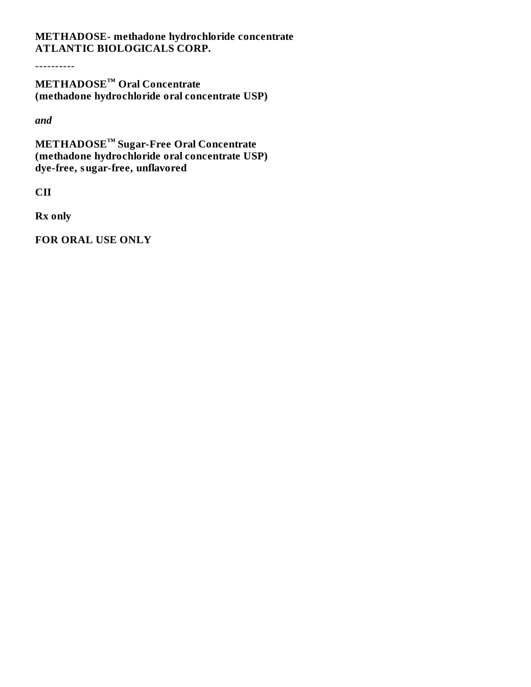**METHADOSE- methadone hydrochloride concentrate ATLANTIC BIOLOGICALS CORP.**

----------

**METHADOSE Oral Concentrate ™ (methadone hydrochloride oral concentrate USP)**

*and*

**METHADOSE Sugar-Free Oral Concentrate ™(methadone hydrochloride oral concentrate USP) dye-free, sugar-free, unflavored**

**CII**

**Rx only**

**FOR ORAL USE ONLY**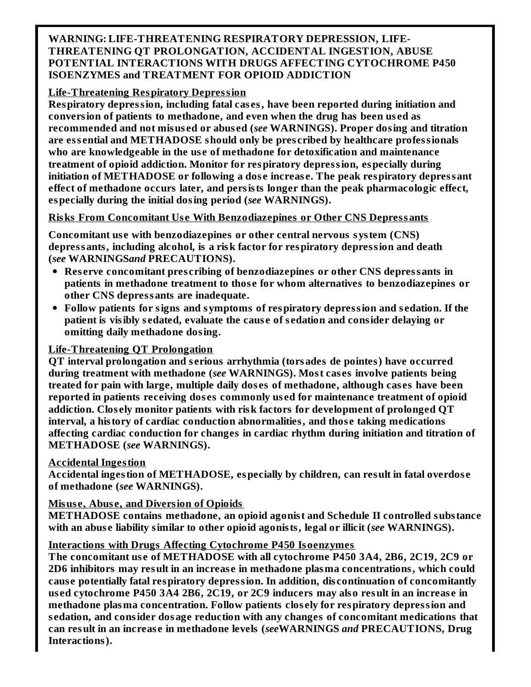#### **WARNING: LIFE-THREATENING RESPIRATORY DEPRESSION, LIFE-THREATENING QT PROLONGATION, ACCIDENTAL INGESTION, ABUSE POTENTIAL INTERACTIONS WITH DRUGS AFFECTING CYTOCHROME P450 ISOENZYMES and TREATMENT FOR OPIOID ADDICTION**

#### **Life-Threatening Respiratory Depression**

**Respiratory depression, including fatal cas es, have been reported during initiation and conversion of patients to methadone, and even when the drug has been us ed as recommended and not misus ed or abus ed (***see* **WARNINGS). Proper dosing and titration are ess ential and METHADOSE should only be pres cribed by healthcare professionals who are knowledgeable in the us e of methadone for detoxification and maintenance treatment of opioid addiction. Monitor for respiratory depression, especially during initiation of METHADOSE or following a dos e increas e. The peak respiratory depressant effect of methadone occurs later, and persists longer than the peak pharmacologic effect, especially during the initial dosing period (***see* **WARNINGS).**

#### **Risks From Concomitant Us e With Benzodiazepines or Other CNS Depressants**

**Concomitant us e with benzodiazepines or other central nervous system (CNS) depressants, including alcohol, is a risk factor for respiratory depression and death (***see* **WARNINGS***and* **PRECAUTIONS).**

- **Res erve concomitant pres cribing of benzodiazepines or other CNS depressants in**  $\bullet$ **patients in methadone treatment to thos e for whom alternatives to benzodiazepines or other CNS depressants are inadequate.**
- **Follow patients for signs and symptoms of respiratory depression and s edation. If the patient is visibly s edated, evaluate the caus e of s edation and consider delaying or omitting daily methadone dosing.**

#### **Life-Threatening QT Prolongation**

**QT interval prolongation and s erious arrhythmia (torsades de pointes) have occurred during treatment with methadone (***see* **WARNINGS). Most cas es involve patients being treated for pain with large, multiple daily dos es of methadone, although cas es have been reported in patients receiving dos es commonly us ed for maintenance treatment of opioid addiction. Clos ely monitor patients with risk factors for development of prolonged QT interval, a history of cardiac conduction abnormalities, and thos e taking medications affecting cardiac conduction for changes in cardiac rhythm during initiation and titration of METHADOSE (***see* **WARNINGS).**

#### **Accidental Ingestion**

**Accidental ingestion of METHADOSE, especially by children, can result in fatal overdos e of methadone (***see* **WARNINGS).**

#### **Misus e, Abus e, and Diversion of Opioids**

**METHADOSE contains methadone, an opioid agonist and Schedule II controlled substance with an abus e liability similar to other opioid agonists, legal or illicit (***see* **WARNINGS).**

#### **Interactions with Drugs Affecting Cytochrome P450 Isoenzymes**

**The concomitant us e of METHADOSE with all cytochrome P450 3A4, 2B6, 2C19, 2C9 or 2D6 inhibitors may result in an increas e in methadone plasma concentrations, which could caus e potentially fatal respiratory depression. In addition, dis continuation of concomitantly us ed cytochrome P450 3A4 2B6, 2C19, or 2C9 inducers may also result in an increas e in methadone plasma concentration. Follow patients clos ely for respiratory depression and s edation, and consider dosage reduction with any changes of concomitant medications that can result in an increas e in methadone levels (***see***WARNINGS** *and* **PRECAUTIONS, Drug Interactions).**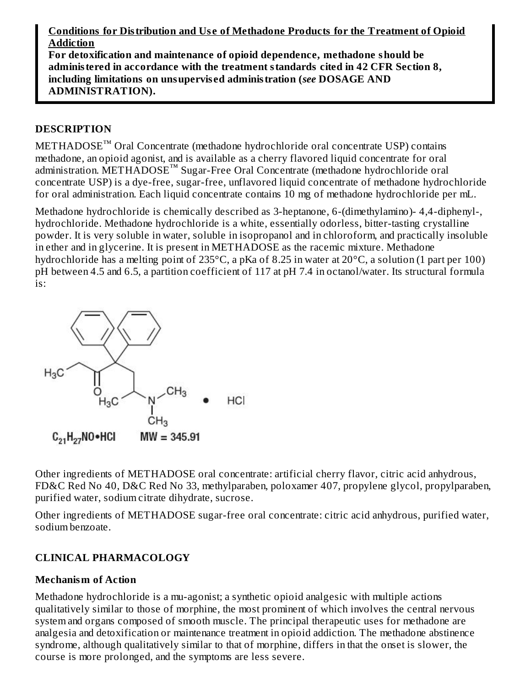**Conditions for Distribution and Us e of Methadone Products for the Treatment of Opioid Addiction For detoxification and maintenance of opioid dependence, methadone should be administered in accordance with the treatment standards cited in 42 CFR Section 8, including limitations on unsupervis ed administration (***see* **DOSAGE AND ADMINISTRATION).**

#### **DESCRIPTION**

 $\text{METHADOSE}^{\text{TM}}$  Oral Concentrate (methadone hydrochloride oral concentrate USP) contains methadone, an opioid agonist, and is available as a cherry flavored liquid concentrate for oral administration. METHADOSE™ Sugar-Free Oral Concentrate (methadone hydrochloride oral concentrate USP) is a dye-free, sugar-free, unflavored liquid concentrate of methadone hydrochloride for oral administration. Each liquid concentrate contains 10 mg of methadone hydrochloride per mL.

Methadone hydrochloride is chemically described as 3-heptanone, 6-(dimethylamino)- 4,4-diphenyl-, hydrochloride. Methadone hydrochloride is a white, essentially odorless, bitter-tasting crystalline powder. It is very soluble in water, soluble in isopropanol and in chloroform, and practically insoluble in ether and in glycerine. It is present in METHADOSE as the racemic mixture. Methadone hydrochloride has a melting point of 235°C, a pKa of 8.25 in water at 20°C, a solution (1 part per 100) pH between 4.5 and 6.5, a partition coefficient of 117 at pH 7.4 in octanol/water. Its structural formula is:



Other ingredients of METHADOSE oral concentrate: artificial cherry flavor, citric acid anhydrous, FD&C Red No 40, D&C Red No 33, methylparaben, poloxamer 407, propylene glycol, propylparaben, purified water, sodium citrate dihydrate, sucrose.

Other ingredients of METHADOSE sugar-free oral concentrate: citric acid anhydrous, purified water, sodium benzoate.

#### **CLINICAL PHARMACOLOGY**

#### **Mechanism of Action**

Methadone hydrochloride is a mu-agonist; a synthetic opioid analgesic with multiple actions qualitatively similar to those of morphine, the most prominent of which involves the central nervous system and organs composed of smooth muscle. The principal therapeutic uses for methadone are analgesia and detoxification or maintenance treatment in opioid addiction. The methadone abstinence syndrome, although qualitatively similar to that of morphine, differs in that the onset is slower, the course is more prolonged, and the symptoms are less severe.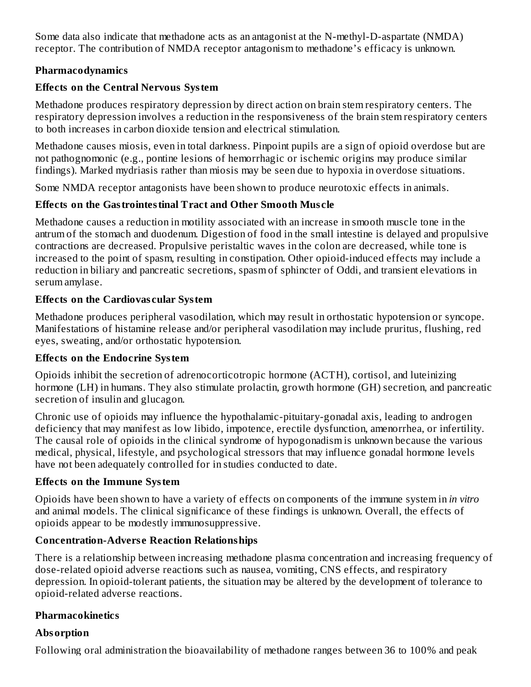Some data also indicate that methadone acts as an antagonist at the N-methyl-D-aspartate (NMDA) receptor. The contribution of NMDA receptor antagonism to methadone's efficacy is unknown.

### **Pharmacodynamics**

## **Effects on the Central Nervous System**

Methadone produces respiratory depression by direct action on brain stem respiratory centers. The respiratory depression involves a reduction in the responsiveness of the brain stem respiratory centers to both increases in carbon dioxide tension and electrical stimulation.

Methadone causes miosis, even in total darkness. Pinpoint pupils are a sign of opioid overdose but are not pathognomonic (e.g., pontine lesions of hemorrhagic or ischemic origins may produce similar findings). Marked mydriasis rather than miosis may be seen due to hypoxia in overdose situations.

Some NMDA receptor antagonists have been shown to produce neurotoxic effects in animals.

## **Effects on the Gastrointestinal Tract and Other Smooth Mus cle**

Methadone causes a reduction in motility associated with an increase in smooth muscle tone in the antrum of the stomach and duodenum. Digestion of food in the small intestine is delayed and propulsive contractions are decreased. Propulsive peristaltic waves in the colon are decreased, while tone is increased to the point of spasm, resulting in constipation. Other opioid-induced effects may include a reduction in biliary and pancreatic secretions, spasm of sphincter of Oddi, and transient elevations in serum amylase.

### **Effects on the Cardiovas cular System**

Methadone produces peripheral vasodilation, which may result in orthostatic hypotension or syncope. Manifestations of histamine release and/or peripheral vasodilation may include pruritus, flushing, red eyes, sweating, and/or orthostatic hypotension.

### **Effects on the Endocrine System**

Opioids inhibit the secretion of adrenocorticotropic hormone (ACTH), cortisol, and luteinizing hormone (LH) in humans. They also stimulate prolactin, growth hormone (GH) secretion, and pancreatic secretion of insulin and glucagon.

Chronic use of opioids may influence the hypothalamic-pituitary-gonadal axis, leading to androgen deficiency that may manifest as low libido, impotence, erectile dysfunction, amenorrhea, or infertility. The causal role of opioids in the clinical syndrome of hypogonadism is unknown because the various medical, physical, lifestyle, and psychological stressors that may influence gonadal hormone levels have not been adequately controlled for in studies conducted to date.

### **Effects on the Immune System**

Opioids have been shown to have a variety of effects on components of the immune system in *in vitro* and animal models. The clinical significance of these findings is unknown. Overall, the effects of opioids appear to be modestly immunosuppressive.

### **Concentration-Advers e Reaction Relationships**

There is a relationship between increasing methadone plasma concentration and increasing frequency of dose-related opioid adverse reactions such as nausea, vomiting, CNS effects, and respiratory depression. In opioid-tolerant patients, the situation may be altered by the development of tolerance to opioid-related adverse reactions.

### **Pharmacokinetics**

### **Absorption**

Following oral administration the bioavailability of methadone ranges between 36 to 100% and peak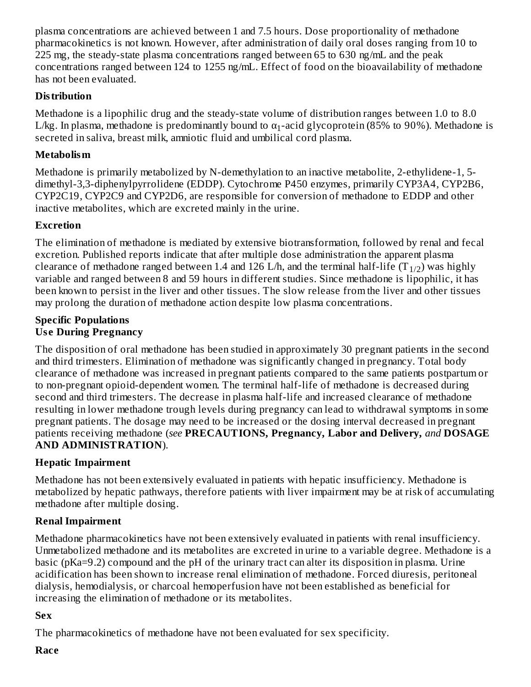plasma concentrations are achieved between 1 and 7.5 hours. Dose proportionality of methadone pharmacokinetics is not known. However, after administration of daily oral doses ranging from 10 to 225 mg, the steady-state plasma concentrations ranged between 65 to 630 ng/mL and the peak concentrations ranged between 124 to 1255 ng/mL. Effect of food on the bioavailability of methadone has not been evaluated.

## **Distribution**

Methadone is a lipophilic drug and the steady-state volume of distribution ranges between 1.0 to 8.0 L/kg. In plasma, methadone is predominantly bound to  $\alpha_1$ -acid glycoprotein (85% to 90%). Methadone is secreted in saliva, breast milk, amniotic fluid and umbilical cord plasma.

## **Metabolism**

Methadone is primarily metabolized by N-demethylation to an inactive metabolite, 2-ethylidene-1, 5 dimethyl-3,3-diphenylpyrrolidene (EDDP). Cytochrome P450 enzymes, primarily CYP3A4, CYP2B6, CYP2C19, CYP2C9 and CYP2D6, are responsible for conversion of methadone to EDDP and other inactive metabolites, which are excreted mainly in the urine.

## **Excretion**

The elimination of methadone is mediated by extensive biotransformation, followed by renal and fecal excretion. Published reports indicate that after multiple dose administration the apparent plasma clearance of methadone ranged between 1.4 and 126 L/h, and the terminal half-life (T<sub>1/2</sub>) was highly variable and ranged between 8 and 59 hours in different studies. Since methadone is lipophilic, it has been known to persist in the liver and other tissues. The slow release from the liver and other tissues may prolong the duration of methadone action despite low plasma concentrations.

#### **Specific Populations Us e During Pregnancy**

The disposition of oral methadone has been studied in approximately 30 pregnant patients in the second and third trimesters. Elimination of methadone was significantly changed in pregnancy. Total body clearance of methadone was increased in pregnant patients compared to the same patients postpartum or to non-pregnant opioid-dependent women. The terminal half-life of methadone is decreased during second and third trimesters. The decrease in plasma half-life and increased clearance of methadone resulting in lower methadone trough levels during pregnancy can lead to withdrawal symptoms in some pregnant patients. The dosage may need to be increased or the dosing interval decreased in pregnant patients receiving methadone (*see* **PRECAUTIONS, Pregnancy, Labor and Delivery,** *and* **DOSAGE AND ADMINISTRATION**).

### **Hepatic Impairment**

Methadone has not been extensively evaluated in patients with hepatic insufficiency. Methadone is metabolized by hepatic pathways, therefore patients with liver impairment may be at risk of accumulating methadone after multiple dosing.

### **Renal Impairment**

Methadone pharmacokinetics have not been extensively evaluated in patients with renal insufficiency. Unmetabolized methadone and its metabolites are excreted in urine to a variable degree. Methadone is a basic (pKa=9.2) compound and the pH of the urinary tract can alter its disposition in plasma. Urine acidification has been shown to increase renal elimination of methadone. Forced diuresis, peritoneal dialysis, hemodialysis, or charcoal hemoperfusion have not been established as beneficial for increasing the elimination of methadone or its metabolites.

#### **Sex**

The pharmacokinetics of methadone have not been evaluated for sex specificity.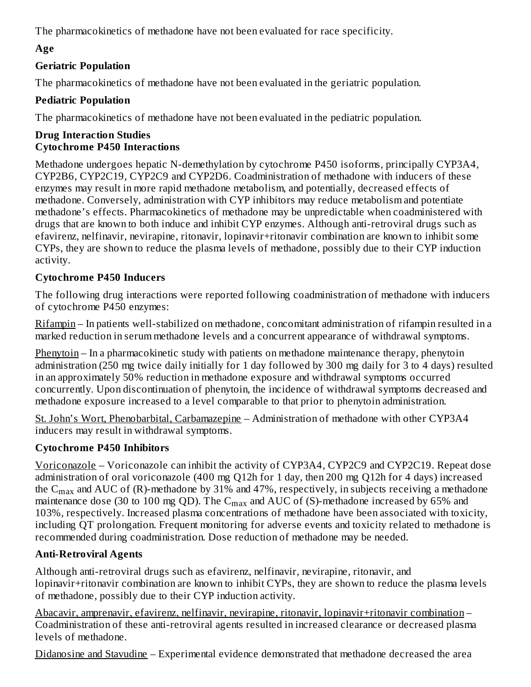The pharmacokinetics of methadone have not been evaluated for race specificity.

## **Age**

## **Geriatric Population**

The pharmacokinetics of methadone have not been evaluated in the geriatric population.

## **Pediatric Population**

The pharmacokinetics of methadone have not been evaluated in the pediatric population.

#### **Drug Interaction Studies Cytochrome P450 Interactions**

Methadone undergoes hepatic N-demethylation by cytochrome P450 isoforms, principally CYP3A4, CYP2B6, CYP2C19, CYP2C9 and CYP2D6. Coadministration of methadone with inducers of these enzymes may result in more rapid methadone metabolism, and potentially, decreased effects of methadone. Conversely, administration with CYP inhibitors may reduce metabolism and potentiate methadone's effects. Pharmacokinetics of methadone may be unpredictable when coadministered with drugs that are known to both induce and inhibit CYP enzymes. Although anti-retroviral drugs such as efavirenz, nelfinavir, nevirapine, ritonavir, lopinavir+ritonavir combination are known to inhibit some CYPs, they are shown to reduce the plasma levels of methadone, possibly due to their CYP induction activity.

## **Cytochrome P450 Inducers**

The following drug interactions were reported following coadministration of methadone with inducers of cytochrome P450 enzymes:

Rifampin – In patients well-stabilized on methadone, concomitant administration of rifampin resulted in a marked reduction in serum methadone levels and a concurrent appearance of withdrawal symptoms.

Phenytoin – In a pharmacokinetic study with patients on methadone maintenance therapy, phenytoin administration (250 mg twice daily initially for 1 day followed by 300 mg daily for 3 to 4 days) resulted in an approximately 50% reduction in methadone exposure and withdrawal symptoms occurred concurrently. Upon discontinuation of phenytoin, the incidence of withdrawal symptoms decreased and methadone exposure increased to a level comparable to that prior to phenytoin administration.

St. John's Wort, Phenobarbital, Carbamazepine – Administration of methadone with other CYP3A4 inducers may result in withdrawal symptoms.

## **Cytochrome P450 Inhibitors**

Voriconazole – Voriconazole can inhibit the activity of CYP3A4, CYP2C9 and CYP2C19. Repeat dose administration of oral voriconazole (400 mg Q12h for 1 day, then 200 mg Q12h for 4 days) increased the C $_{\rm max}$  and AUC of (R)-methadone by 31% and 47%, respectively, in subjects receiving a methadone maintenance dose (30 to 100 mg QD). The  $C_{max}$  and AUC of (S)-methadone increased by 65% and 103%, respectively. Increased plasma concentrations of methadone have been associated with toxicity, including QT prolongation. Frequent monitoring for adverse events and toxicity related to methadone is recommended during coadministration. Dose reduction of methadone may be needed.

## **Anti-Retroviral Agents**

Although anti-retroviral drugs such as efavirenz, nelfinavir, nevirapine, ritonavir, and lopinavir+ritonavir combination are known to inhibit CYPs, they are shown to reduce the plasma levels of methadone, possibly due to their CYP induction activity.

Abacavir, amprenavir, efavirenz, nelfinavir, nevirapine, ritonavir, lopinavir+ritonavir combination *–* Coadministration of these anti-retroviral agents resulted in increased clearance or decreased plasma levels of methadone.

Didanosine and Stavudine *–* Experimental evidence demonstrated that methadone decreased the area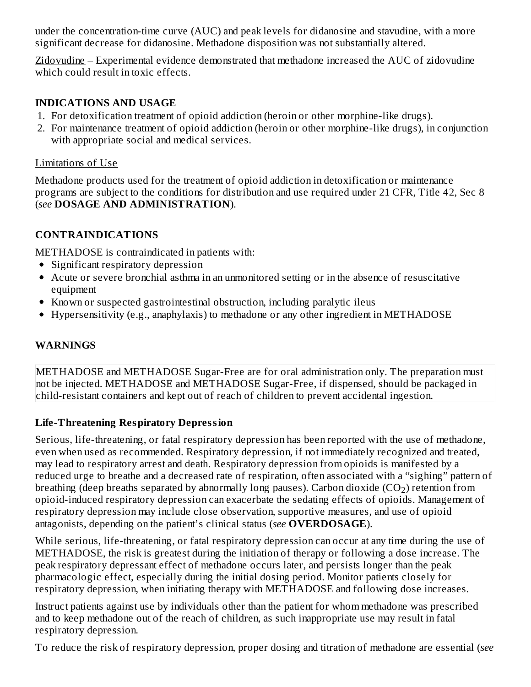under the concentration-time curve (AUC) and peak levels for didanosine and stavudine, with a more significant decrease for didanosine. Methadone disposition was not substantially altered.

Zidovudine *–* Experimental evidence demonstrated that methadone increased the AUC of zidovudine which could result in toxic effects.

#### **INDICATIONS AND USAGE**

- 1. For detoxification treatment of opioid addiction (heroin or other morphine-like drugs).
- 2. For maintenance treatment of opioid addiction (heroin or other morphine-like drugs), in conjunction with appropriate social and medical services.

#### Limitations of Use

Methadone products used for the treatment of opioid addiction in detoxification or maintenance programs are subject to the conditions for distribution and use required under 21 CFR, Title 42, Sec 8 (*see* **DOSAGE AND ADMINISTRATION**).

#### **CONTRAINDICATIONS**

METHADOSE is contraindicated in patients with:

- Significant respiratory depression
- Acute or severe bronchial asthma in an unmonitored setting or in the absence of resuscitative equipment
- Known or suspected gastrointestinal obstruction, including paralytic ileus
- Hypersensitivity (e.g., anaphylaxis) to methadone or any other ingredient in METHADOSE

### **WARNINGS**

METHADOSE and METHADOSE Sugar-Free are for oral administration only. The preparation must not be injected. METHADOSE and METHADOSE Sugar-Free, if dispensed, should be packaged in child-resistant containers and kept out of reach of children to prevent accidental ingestion.

#### **Life-Threatening Respiratory Depression**

Serious, life-threatening, or fatal respiratory depression has been reported with the use of methadone, even when used as recommended. Respiratory depression, if not immediately recognized and treated, may lead to respiratory arrest and death. Respiratory depression from opioids is manifested by a reduced urge to breathe and a decreased rate of respiration, often associated with a "sighing" pattern of breathing (deep breaths separated by abnormally long pauses). Carbon dioxide (CO<sub>2</sub>) retention from opioid-induced respiratory depression can exacerbate the sedating effects of opioids. Management of respiratory depression may include close observation, supportive measures, and use of opioid antagonists, depending on the patient's clinical status (*see* **OVERDOSAGE**).

While serious, life-threatening, or fatal respiratory depression can occur at any time during the use of METHADOSE, the risk is greatest during the initiation of therapy or following a dose increase. The peak respiratory depressant effect of methadone occurs later, and persists longer than the peak pharmacologic effect, especially during the initial dosing period. Monitor patients closely for respiratory depression, when initiating therapy with METHADOSE and following dose increases.

Instruct patients against use by individuals other than the patient for whom methadone was prescribed and to keep methadone out of the reach of children, as such inappropriate use may result in fatal respiratory depression.

To reduce the risk of respiratory depression, proper dosing and titration of methadone are essential (*see*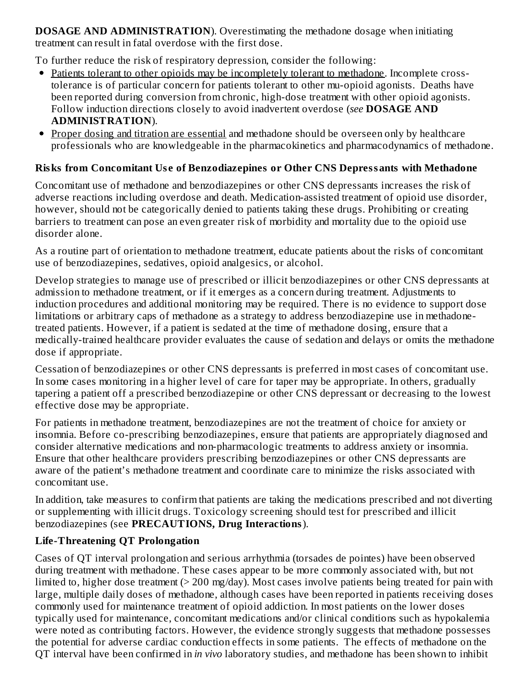**DOSAGE AND ADMINISTRATION**). Overestimating the methadone dosage when initiating treatment can result in fatal overdose with the first dose.

To further reduce the risk of respiratory depression, consider the following:

- Patients tolerant to other opioids may be incompletely tolerant to methadone. Incomplete crosstolerance is of particular concern for patients tolerant to other mu-opioid agonists. Deaths have been reported during conversion from chronic, high-dose treatment with other opioid agonists. Follow induction directions closely to avoid inadvertent overdose (*see* **DOSAGE AND ADMINISTRATION**).
- Proper dosing and titration are essential and methadone should be overseen only by healthcare professionals who are knowledgeable in the pharmacokinetics and pharmacodynamics of methadone.

### **Risks from Concomitant Us e of Benzodiazepines or Other CNS Depressants with Methadone**

Concomitant use of methadone and benzodiazepines or other CNS depressants increases the risk of adverse reactions including overdose and death. Medication-assisted treatment of opioid use disorder, however, should not be categorically denied to patients taking these drugs. Prohibiting or creating barriers to treatment can pose an even greater risk of morbidity and mortality due to the opioid use disorder alone.

As a routine part of orientation to methadone treatment, educate patients about the risks of concomitant use of benzodiazepines, sedatives, opioid analgesics, or alcohol.

Develop strategies to manage use of prescribed or illicit benzodiazepines or other CNS depressants at admission to methadone treatment, or if it emerges as a concern during treatment. Adjustments to induction procedures and additional monitoring may be required. There is no evidence to support dose limitations or arbitrary caps of methadone as a strategy to address benzodiazepine use in methadonetreated patients. However, if a patient is sedated at the time of methadone dosing, ensure that a medically-trained healthcare provider evaluates the cause of sedation and delays or omits the methadone dose if appropriate.

Cessation of benzodiazepines or other CNS depressants is preferred in most cases of concomitant use. In some cases monitoring in a higher level of care for taper may be appropriate. In others, gradually tapering a patient off a prescribed benzodiazepine or other CNS depressant or decreasing to the lowest effective dose may be appropriate.

For patients in methadone treatment, benzodiazepines are not the treatment of choice for anxiety or insomnia. Before co-prescribing benzodiazepines, ensure that patients are appropriately diagnosed and consider alternative medications and non-pharmacologic treatments to address anxiety or insomnia. Ensure that other healthcare providers prescribing benzodiazepines or other CNS depressants are aware of the patient's methadone treatment and coordinate care to minimize the risks associated with concomitant use.

In addition, take measures to confirm that patients are taking the medications prescribed and not diverting or supplementing with illicit drugs. Toxicology screening should test for prescribed and illicit benzodiazepines (see **PRECAUTIONS, Drug Interactions**).

### **Life-Threatening QT Prolongation**

Cases of QT interval prolongation and serious arrhythmia (torsades de pointes) have been observed during treatment with methadone. These cases appear to be more commonly associated with, but not limited to, higher dose treatment (> 200 mg/day). Most cases involve patients being treated for pain with large, multiple daily doses of methadone, although cases have been reported in patients receiving doses commonly used for maintenance treatment of opioid addiction. In most patients on the lower doses typically used for maintenance, concomitant medications and/or clinical conditions such as hypokalemia were noted as contributing factors. However, the evidence strongly suggests that methadone possesses the potential for adverse cardiac conduction effects in some patients. The effects of methadone on the QT interval have been confirmed in *in vivo* laboratory studies, and methadone has been shown to inhibit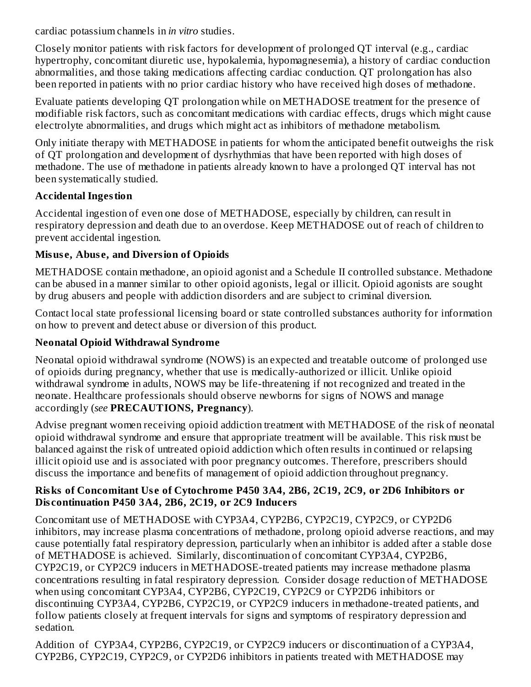cardiac potassium channels in *in vitro* studies.

Closely monitor patients with risk factors for development of prolonged QT interval (e.g., cardiac hypertrophy, concomitant diuretic use, hypokalemia, hypomagnesemia), a history of cardiac conduction abnormalities, and those taking medications affecting cardiac conduction. QT prolongation has also been reported in patients with no prior cardiac history who have received high doses of methadone.

Evaluate patients developing QT prolongation while on METHADOSE treatment for the presence of modifiable risk factors, such as concomitant medications with cardiac effects, drugs which might cause electrolyte abnormalities, and drugs which might act as inhibitors of methadone metabolism.

Only initiate therapy with METHADOSE in patients for whom the anticipated benefit outweighs the risk of QT prolongation and development of dysrhythmias that have been reported with high doses of methadone. The use of methadone in patients already known to have a prolonged QT interval has not been systematically studied.

### **Accidental Ingestion**

Accidental ingestion of even one dose of METHADOSE, especially by children, can result in respiratory depression and death due to an overdose. Keep METHADOSE out of reach of children to prevent accidental ingestion.

## **Misus e, Abus e, and Diversion of Opioids**

METHADOSE contain methadone, an opioid agonist and a Schedule II controlled substance. Methadone can be abused in a manner similar to other opioid agonists, legal or illicit. Opioid agonists are sought by drug abusers and people with addiction disorders and are subject to criminal diversion.

Contact local state professional licensing board or state controlled substances authority for information on how to prevent and detect abuse or diversion of this product.

## **Neonatal Opioid Withdrawal Syndrome**

Neonatal opioid withdrawal syndrome (NOWS) is an expected and treatable outcome of prolonged use of opioids during pregnancy, whether that use is medically-authorized or illicit. Unlike opioid withdrawal syndrome in adults, NOWS may be life-threatening if not recognized and treated in the neonate. Healthcare professionals should observe newborns for signs of NOWS and manage accordingly (*see* **PRECAUTIONS, Pregnancy**).

Advise pregnant women receiving opioid addiction treatment with METHADOSE of the risk of neonatal opioid withdrawal syndrome and ensure that appropriate treatment will be available. This risk must be balanced against the risk of untreated opioid addiction which often results in continued or relapsing illicit opioid use and is associated with poor pregnancy outcomes. Therefore, prescribers should discuss the importance and benefits of management of opioid addiction throughout pregnancy.

#### **Risks of Concomitant Us e of Cytochrome P450 3A4, 2B6, 2C19, 2C9, or 2D6 Inhibitors or Dis continuation P450 3A4, 2B6, 2C19, or 2C9 Inducers**

Concomitant use of METHADOSE with CYP3A4, CYP2B6, CYP2C19, CYP2C9, or CYP2D6 inhibitors, may increase plasma concentrations of methadone, prolong opioid adverse reactions, and may cause potentially fatal respiratory depression, particularly when an inhibitor is added after a stable dose of METHADOSE is achieved. Similarly, discontinuation of concomitant CYP3A4, CYP2B6, CYP2C19, or CYP2C9 inducers in METHADOSE-treated patients may increase methadone plasma concentrations resulting in fatal respiratory depression. Consider dosage reduction of METHADOSE when using concomitant CYP3A4, CYP2B6, CYP2C19, CYP2C9 or CYP2D6 inhibitors or discontinuing CYP3A4, CYP2B6, CYP2C19, or CYP2C9 inducers in methadone-treated patients, and follow patients closely at frequent intervals for signs and symptoms of respiratory depression and sedation.

Addition of CYP3A4, CYP2B6, CYP2C19, or CYP2C9 inducers or discontinuation of a CYP3A4, CYP2B6, CYP2C19, CYP2C9, or CYP2D6 inhibitors in patients treated with METHADOSE may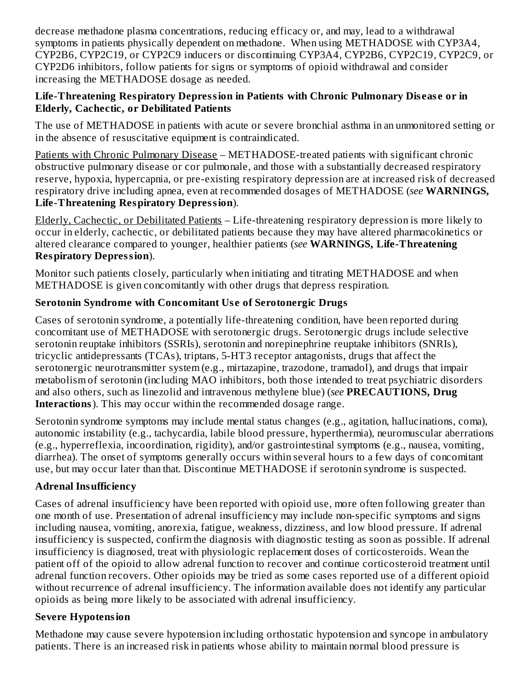decrease methadone plasma concentrations, reducing efficacy or, and may, lead to a withdrawal symptoms in patients physically dependent on methadone. When using METHADOSE with CYP3A4, CYP2B6, CYP2C19, or CYP2C9 inducers or discontinuing CYP3A4, CYP2B6, CYP2C19, CYP2C9, or CYP2D6 inhibitors, follow patients for signs or symptoms of opioid withdrawal and consider increasing the METHADOSE dosage as needed.

#### **Life-Threatening Respiratory Depression in Patients with Chronic Pulmonary Dis eas e or in Elderly, Cachectic, or Debilitated Patients**

The use of METHADOSE in patients with acute or severe bronchial asthma in an unmonitored setting or in the absence of resuscitative equipment is contraindicated.

Patients with Chronic Pulmonary Disease *–* METHADOSE-treated patients with significant chronic obstructive pulmonary disease or cor pulmonale, and those with a substantially decreased respiratory reserve, hypoxia, hypercapnia, or pre-existing respiratory depression are at increased risk of decreased respiratory drive including apnea, even at recommended dosages of METHADOSE (*see* **WARNINGS, Life-Threatening Respiratory Depression**).

Elderly, Cachectic, or Debilitated Patients *–* Life-threatening respiratory depression is more likely to occur in elderly, cachectic, or debilitated patients because they may have altered pharmacokinetics or altered clearance compared to younger, healthier patients (*see* **WARNINGS, Life-Threatening Respiratory Depression**).

Monitor such patients closely, particularly when initiating and titrating METHADOSE and when METHADOSE is given concomitantly with other drugs that depress respiration.

## **Serotonin Syndrome with Concomitant Us e of Serotonergic Drugs**

Cases of serotonin syndrome, a potentially life-threatening condition, have been reported during concomitant use of METHADOSE with serotonergic drugs. Serotonergic drugs include selective serotonin reuptake inhibitors (SSRIs), serotonin and norepinephrine reuptake inhibitors (SNRIs), tricyclic antidepressants (TCAs), triptans, 5-HT3 receptor antagonists, drugs that affect the serotonergic neurotransmitter system (e.g., mirtazapine, trazodone, tramadol), and drugs that impair metabolism of serotonin (including MAO inhibitors, both those intended to treat psychiatric disorders and also others, such as linezolid and intravenous methylene blue) (*see* **PRECAUTIONS, Drug Interactions**). This may occur within the recommended dosage range.

Serotonin syndrome symptoms may include mental status changes (e.g., agitation, hallucinations, coma), autonomic instability (e.g., tachycardia, labile blood pressure, hyperthermia), neuromuscular aberrations (e.g., hyperreflexia, incoordination, rigidity), and/or gastrointestinal symptoms (e.g., nausea, vomiting, diarrhea). The onset of symptoms generally occurs within several hours to a few days of concomitant use, but may occur later than that. Discontinue METHADOSE if serotonin syndrome is suspected.

## **Adrenal Insufficiency**

Cases of adrenal insufficiency have been reported with opioid use, more often following greater than one month of use. Presentation of adrenal insufficiency may include non-specific symptoms and signs including nausea, vomiting, anorexia, fatigue, weakness, dizziness, and low blood pressure. If adrenal insufficiency is suspected, confirm the diagnosis with diagnostic testing as soon as possible. If adrenal insufficiency is diagnosed, treat with physiologic replacement doses of corticosteroids. Wean the patient off of the opioid to allow adrenal function to recover and continue corticosteroid treatment until adrenal function recovers. Other opioids may be tried as some cases reported use of a different opioid without recurrence of adrenal insufficiency. The information available does not identify any particular opioids as being more likely to be associated with adrenal insufficiency.

### **Severe Hypotension**

Methadone may cause severe hypotension including orthostatic hypotension and syncope in ambulatory patients. There is an increased risk in patients whose ability to maintain normal blood pressure is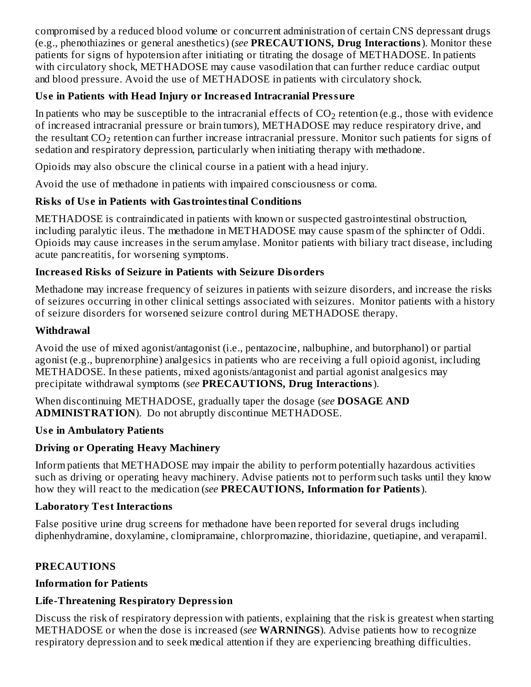compromised by a reduced blood volume or concurrent administration of certain CNS depressant drugs (e.g., phenothiazines or general anesthetics) (*see* **PRECAUTIONS, Drug Interactions**). Monitor these patients for signs of hypotension after initiating or titrating the dosage of METHADOSE. In patients with circulatory shock, METHADOSE may cause vasodilation that can further reduce cardiac output and blood pressure. Avoid the use of METHADOSE in patients with circulatory shock.

### **Us e in Patients with Head Injury or Increas ed Intracranial Pressure**

In patients who may be susceptible to the intracranial effects of  $\mathrm{CO}_2$  retention (e.g., those with evidence of increased intracranial pressure or brain tumors)*,* METHADOSE may reduce respiratory drive, and the resultant  $\mathrm{CO}_2$  retention can further increase intracranial pressure. Monitor such patients for signs of sedation and respiratory depression, particularly when initiating therapy with methadone.

Opioids may also obscure the clinical course in a patient with a head injury.

Avoid the use of methadone in patients with impaired consciousness or coma.

### **Risks of Us e in Patients with Gastrointestinal Conditions**

METHADOSE is contraindicated in patients with known or suspected gastrointestinal obstruction, including paralytic ileus. The methadone in METHADOSE may cause spasm of the sphincter of Oddi. Opioids may cause increases in the serum amylase. Monitor patients with biliary tract disease, including acute pancreatitis, for worsening symptoms.

### **Increas ed Risks of Seizure in Patients with Seizure Disorders**

Methadone may increase frequency of seizures in patients with seizure disorders, and increase the risks of seizures occurring in other clinical settings associated with seizures. Monitor patients with a history of seizure disorders for worsened seizure control during METHADOSE therapy.

### **Withdrawal**

Avoid the use of mixed agonist/antagonist (i.e., pentazocine, nalbuphine, and butorphanol) or partial agonist (e.g., buprenorphine) analgesics in patients who are receiving a full opioid agonist, including METHADOSE. In these patients, mixed agonists/antagonist and partial agonist analgesics may precipitate withdrawal symptoms (*see* **PRECAUTIONS, Drug Interactions**).

When discontinuing METHADOSE, gradually taper the dosage (*see* **DOSAGE AND ADMINISTRATION**). Do not abruptly discontinue METHADOSE.

### **Us e in Ambulatory Patients**

## **Driving or Operating Heavy Machinery**

Inform patients that METHADOSE may impair the ability to perform potentially hazardous activities such as driving or operating heavy machinery. Advise patients not to perform such tasks until they know how they will react to the medication (*see* **PRECAUTIONS, Information for Patients**).

### **Laboratory Test Interactions**

False positive urine drug screens for methadone have been reported for several drugs including diphenhydramine, doxylamine, clomipramaine, chlorpromazine, thioridazine, quetiapine, and verapamil.

## **PRECAUTIONS**

### **Information for Patients**

## **Life-Threatening Respiratory Depression**

Discuss the risk of respiratory depression with patients, explaining that the risk is greatest when starting METHADOSE or when the dose is increased (*see* **WARNINGS**). Advise patients how to recognize respiratory depression and to seek medical attention if they are experiencing breathing difficulties.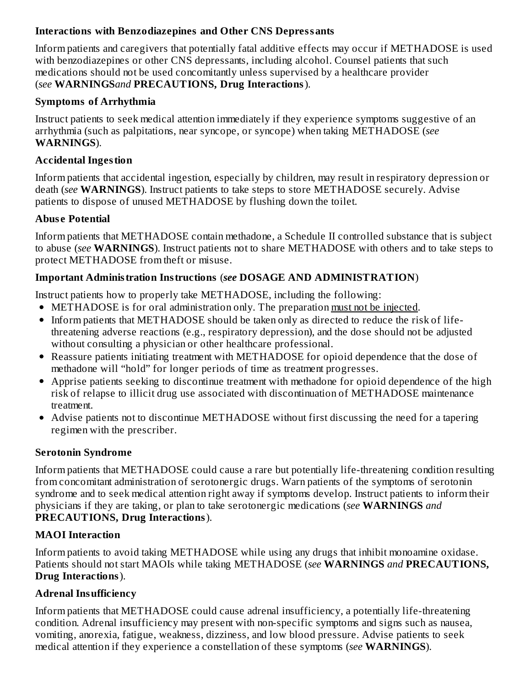#### **Interactions with Benzodiazepines and Other CNS Depressants**

Inform patients and caregivers that potentially fatal additive effects may occur if METHADOSE is used with benzodiazepines or other CNS depressants, including alcohol. Counsel patients that such medications should not be used concomitantly unless supervised by a healthcare provider (*see* **WARNINGS***and* **PRECAUTIONS, Drug Interactions**).

#### **Symptoms of Arrhythmia**

Instruct patients to seek medical attention immediately if they experience symptoms suggestive of an arrhythmia (such as palpitations, near syncope, or syncope) when taking METHADOSE (*see* **WARNINGS**).

#### **Accidental Ingestion**

Inform patients that accidental ingestion, especially by children, may result in respiratory depression or death (*see* **WARNINGS**). Instruct patients to take steps to store METHADOSE securely. Advise patients to dispose of unused METHADOSE by flushing down the toilet.

#### **Abus e Potential**

Inform patients that METHADOSE contain methadone, a Schedule II controlled substance that is subject to abuse (*see* **WARNINGS**). Instruct patients not to share METHADOSE with others and to take steps to protect METHADOSE from theft or misuse.

#### **Important Administration Instructions** (*see* **DOSAGE AND ADMINISTRATION**)

Instruct patients how to properly take METHADOSE, including the following:

- METHADOSE is for oral administration only. The preparation must not be injected.
- Inform patients that METHADOSE should be taken only as directed to reduce the risk of lifethreatening adverse reactions (e.g., respiratory depression), and the dose should not be adjusted without consulting a physician or other healthcare professional.
- Reassure patients initiating treatment with METHADOSE for opioid dependence that the dose of methadone will "hold" for longer periods of time as treatment progresses.
- Apprise patients seeking to discontinue treatment with methadone for opioid dependence of the high risk of relapse to illicit drug use associated with discontinuation of METHADOSE maintenance treatment.
- Advise patients not to discontinue METHADOSE without first discussing the need for a tapering regimen with the prescriber.

### **Serotonin Syndrome**

Inform patients that METHADOSE could cause a rare but potentially life-threatening condition resulting from concomitant administration of serotonergic drugs. Warn patients of the symptoms of serotonin syndrome and to seek medical attention right away if symptoms develop. Instruct patients to inform their physicians if they are taking, or plan to take serotonergic medications (*see* **WARNINGS** *and* **PRECAUTIONS, Drug Interactions**).

#### **MAOI Interaction**

Inform patients to avoid taking METHADOSE while using any drugs that inhibit monoamine oxidase. Patients should not start MAOIs while taking METHADOSE (*see* **WARNINGS** *and* **PRECAUTIONS, Drug Interactions**).

### **Adrenal Insufficiency**

Inform patients that METHADOSE could cause adrenal insufficiency, a potentially life-threatening condition. Adrenal insufficiency may present with non-specific symptoms and signs such as nausea, vomiting, anorexia, fatigue, weakness, dizziness, and low blood pressure. Advise patients to seek medical attention if they experience a constellation of these symptoms (*see* **WARNINGS**).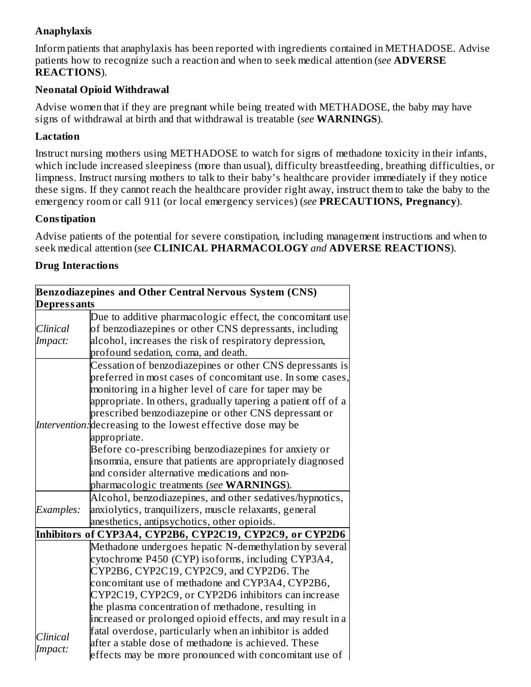## **Anaphylaxis**

Inform patients that anaphylaxis has been reported with ingredients contained in METHADOSE. Advise patients how to recognize such a reaction and when to seek medical attention (*see* **ADVERSE REACTIONS**).

#### **Neonatal Opioid Withdrawal**

Advise women that if they are pregnant while being treated with METHADOSE, the baby may have signs of withdrawal at birth and that withdrawal is treatable (*see* **WARNINGS**).

#### **Lactation**

Instruct nursing mothers using METHADOSE to watch for signs of methadone toxicity in their infants, which include increased sleepiness (more than usual), difficulty breastfeeding, breathing difficulties, or limpness. Instruct nursing mothers to talk to their baby's healthcare provider immediately if they notice these signs. If they cannot reach the healthcare provider right away, instruct them to take the baby to the emergency room or call 911 (or local emergency services) (*see* **PRECAUTIONS, Pregnancy**).

#### **Constipation**

Advise patients of the potential for severe constipation, including management instructions and when to seek medical attention (*see* **CLINICAL PHARMACOLOGY** *and* **ADVERSE REACTIONS**).

#### **Drug Interactions**

|                            | Benzodiazepines and Other Central Nervous System (CNS)        |  |  |  |  |
|----------------------------|---------------------------------------------------------------|--|--|--|--|
| <b>Depressants</b>         |                                                               |  |  |  |  |
|                            | Due to additive pharmacologic effect, the concomitant use     |  |  |  |  |
| Clinical                   | of benzodiazepines or other CNS depressants, including        |  |  |  |  |
| Impact:                    | alcohol, increases the risk of respiratory depression,        |  |  |  |  |
|                            | profound sedation, coma, and death.                           |  |  |  |  |
|                            | Cessation of benzodiazepines or other CNS depressants is      |  |  |  |  |
|                            | preferred in most cases of concomitant use. In some cases,    |  |  |  |  |
|                            | monitoring in a higher level of care for taper may be         |  |  |  |  |
|                            | appropriate. In others, gradually tapering a patient off of a |  |  |  |  |
|                            | prescribed benzodiazepine or other CNS depressant or          |  |  |  |  |
|                            | Intervention: decreasing to the lowest effective dose may be  |  |  |  |  |
|                            | appropriate.                                                  |  |  |  |  |
|                            | Before co-prescribing benzodiazepines for anxiety or          |  |  |  |  |
|                            | insomnia, ensure that patients are appropriately diagnosed    |  |  |  |  |
|                            | and consider alternative medications and non-                 |  |  |  |  |
|                            | pharmacologic treatments (see WARNINGS).                      |  |  |  |  |
|                            | Alcohol, benzodiazepines, and other sedatives/hypnotics,      |  |  |  |  |
| Examples:                  | anxiolytics, tranquilizers, muscle relaxants, general         |  |  |  |  |
|                            | anesthetics, antipsychotics, other opioids.                   |  |  |  |  |
|                            | Inhibitors of CYP3A4, CYP2B6, CYP2C19, CYP2C9, or CYP2D6      |  |  |  |  |
|                            | Methadone undergoes hepatic N-demethylation by several        |  |  |  |  |
|                            | cytochrome P450 (CYP) isoforms, including CYP3A4,             |  |  |  |  |
|                            | CYP2B6, CYP2C19, CYP2C9, and CYP2D6. The                      |  |  |  |  |
|                            | concomitant use of methadone and CYP3A4, CYP2B6,              |  |  |  |  |
|                            | CYP2C19, CYP2C9, or CYP2D6 inhibitors can increase            |  |  |  |  |
|                            | the plasma concentration of methadone, resulting in           |  |  |  |  |
| <b>Clinical</b><br>Impact: | increased or prolonged opioid effects, and may result in a    |  |  |  |  |
|                            | fatal overdose, particularly when an inhibitor is added       |  |  |  |  |
|                            | after a stable dose of methadone is achieved. These           |  |  |  |  |
|                            | effects may be more pronounced with concomitant use of        |  |  |  |  |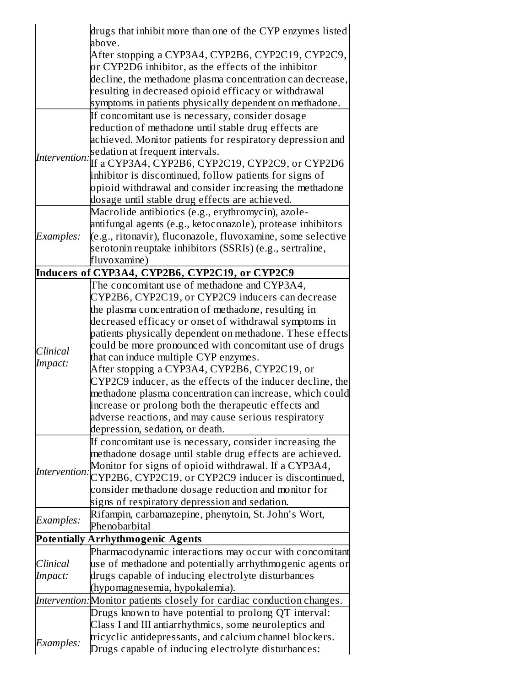|                 | drugs that inhibit more than one of the CYP enzymes listed             |  |  |  |  |
|-----------------|------------------------------------------------------------------------|--|--|--|--|
|                 | above.                                                                 |  |  |  |  |
|                 | After stopping a CYP3A4, CYP2B6, CYP2C19, CYP2C9,                      |  |  |  |  |
|                 | or CYP2D6 inhibitor, as the effects of the inhibitor                   |  |  |  |  |
|                 | decline, the methadone plasma concentration can decrease,              |  |  |  |  |
|                 | resulting in decreased opioid efficacy or withdrawal                   |  |  |  |  |
|                 | symptoms in patients physically dependent on methadone.                |  |  |  |  |
|                 | If concomitant use is necessary, consider dosage                       |  |  |  |  |
|                 | reduction of methadone until stable drug effects are                   |  |  |  |  |
|                 | achieved. Monitor patients for respiratory depression and              |  |  |  |  |
|                 | sedation at frequent intervals.                                        |  |  |  |  |
|                 | Intervention: If a CYP3A4, CYP2B6, CYP2C19, CYP2C9, or CYP2D6          |  |  |  |  |
|                 | inhibitor is discontinued, follow patients for signs of                |  |  |  |  |
|                 | opioid withdrawal and consider increasing the methadone                |  |  |  |  |
|                 | dosage until stable drug effects are achieved.                         |  |  |  |  |
|                 | Macrolide antibiotics (e.g., erythromycin), azole-                     |  |  |  |  |
|                 | antifungal agents (e.g., ketoconazole), protease inhibitors            |  |  |  |  |
| Examples:       | (e.g., ritonavir), fluconazole, fluvoxamine, some selective            |  |  |  |  |
|                 | serotonin reuptake inhibitors (SSRIs) (e.g., sertraline,               |  |  |  |  |
|                 | fluvoxamine)                                                           |  |  |  |  |
|                 | Inducers of CYP3A4, CYP2B6, CYP2C19, or CYP2C9                         |  |  |  |  |
|                 | The concomitant use of methadone and CYP3A4,                           |  |  |  |  |
|                 | CYP2B6, CYP2C19, or CYP2C9 inducers can decrease                       |  |  |  |  |
|                 | the plasma concentration of methadone, resulting in                    |  |  |  |  |
|                 | decreased efficacy or onset of withdrawal symptoms in                  |  |  |  |  |
|                 | patients physically dependent on methadone. These effects              |  |  |  |  |
|                 | could be more pronounced with concomitant use of drugs                 |  |  |  |  |
| <b>Clinical</b> | that can induce multiple CYP enzymes.                                  |  |  |  |  |
| Impact:         | After stopping a CYP3A4, CYP2B6, CYP2C19, or                           |  |  |  |  |
|                 | CYP2C9 inducer, as the effects of the inducer decline, the             |  |  |  |  |
|                 | methadone plasma concentration can increase, which could               |  |  |  |  |
|                 | increase or prolong both the therapeutic effects and                   |  |  |  |  |
|                 | adverse reactions, and may cause serious respiratory                   |  |  |  |  |
|                 | depression, sedation, or death.                                        |  |  |  |  |
|                 | If concomitant use is necessary, consider increasing the               |  |  |  |  |
|                 | methadone dosage until stable drug effects are achieved.               |  |  |  |  |
|                 | Monitor for signs of opioid withdrawal. If a CYP3A4,                   |  |  |  |  |
| Intervention:   | CYP2B6, CYP2C19, or CYP2C9 inducer is discontinued,                    |  |  |  |  |
|                 | consider methadone dosage reduction and monitor for                    |  |  |  |  |
|                 | signs of respiratory depression and sedation.                          |  |  |  |  |
|                 | Rifampin, carbamazepine, phenytoin, St. John's Wort,                   |  |  |  |  |
| Examples:       | Phenobarbital                                                          |  |  |  |  |
|                 | Potentially Arrhythmogenic Agents                                      |  |  |  |  |
|                 | Pharmacodynamic interactions may occur with concomitant                |  |  |  |  |
| Clinical        | use of methadone and potentially arrhythmogenic agents or              |  |  |  |  |
| Impact:         | drugs capable of inducing electrolyte disturbances                     |  |  |  |  |
|                 | (hypomagnesemia, hypokalemia).                                         |  |  |  |  |
|                 | Intervention: Monitor patients closely for cardiac conduction changes. |  |  |  |  |
|                 | Drugs known to have potential to prolong QT interval:                  |  |  |  |  |
|                 | Class I and III antiarrhythmics, some neuroleptics and                 |  |  |  |  |
|                 | tricyclic antidepressants, and calcium channel blockers.               |  |  |  |  |
| Examples:       | Drugs capable of inducing electrolyte disturbances:                    |  |  |  |  |
|                 |                                                                        |  |  |  |  |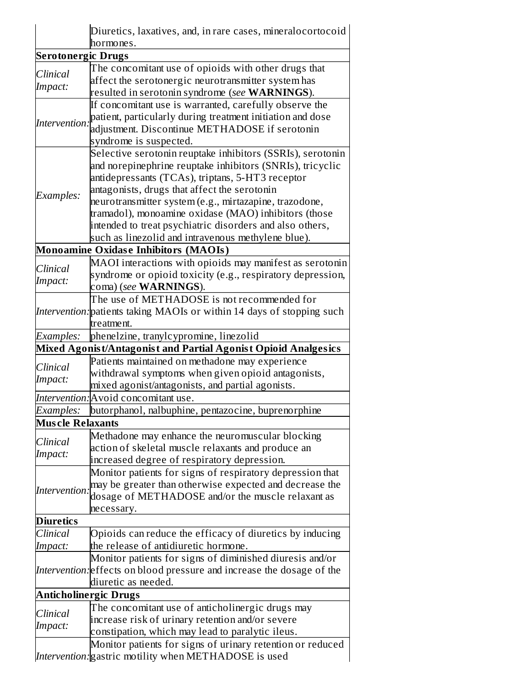|                           | Diuretics, laxatives, and, in rare cases, mineralocortocoid                                              |
|---------------------------|----------------------------------------------------------------------------------------------------------|
| <b>Serotonergic Drugs</b> | hormones.                                                                                                |
|                           | The concomitant use of opioids with other drugs that                                                     |
| <b>Clinical</b>           | affect the serotonergic neurotransmitter system has                                                      |
| Impact:                   | resulted in serotonin syndrome (see WARNINGS).                                                           |
|                           | If concomitant use is warranted, carefully observe the                                                   |
|                           | Intervention: patient, particularly during treatment initiation and dose                                 |
|                           | adjustment. Discontinue METHADOSE if serotonin                                                           |
|                           | syndrome is suspected.                                                                                   |
|                           | Selective serotonin reuptake inhibitors (SSRIs), serotonin                                               |
|                           | and norepinephrine reuptake inhibitors (SNRIs), tricyclic                                                |
|                           | antidepressants (TCAs), triptans, 5-HT3 receptor                                                         |
|                           | antagonists, drugs that affect the serotonin                                                             |
| Examples:                 | neurotransmitter system (e.g., mirtazapine, trazodone,                                                   |
|                           | tramadol), monoamine oxidase (MAO) inhibitors (those                                                     |
|                           | intended to treat psychiatric disorders and also others,                                                 |
|                           | such as linezolid and intravenous methylene blue).                                                       |
|                           | <b>Monoamine Oxidase Inhibitors (MAOIs)</b>                                                              |
| Clinical                  | MAOI interactions with opioids may manifest as serotonin                                                 |
| Impact:                   | syndrome or opioid toxicity (e.g., respiratory depression,                                               |
|                           | coma) (see WARNINGS).                                                                                    |
|                           | The use of METHADOSE is not recommended for                                                              |
|                           | Intervention: patients taking MAOIs or within 14 days of stopping such                                   |
|                           | treatment.                                                                                               |
| Examples:                 | phenelzine, tranylcypromine, linezolid                                                                   |
|                           | Mixed Agonist/Antagonist and Partial Agonist Opioid Analgesics                                           |
| <b>Clinical</b>           | Patients maintained on methadone may experience                                                          |
| Impact:                   | withdrawal symptoms when given opioid antagonists,                                                       |
|                           | mixed agonist/antagonists, and partial agonists.                                                         |
|                           | Intervention: Avoid concomitant use.                                                                     |
| Examples:                 | butorphanol, nalbuphine, pentazocine, buprenorphine                                                      |
| <b>Muscle Relaxants</b>   |                                                                                                          |
| <b>Clinical</b>           | Methadone may enhance the neuromuscular blocking                                                         |
| Impact:                   | action of skeletal muscle relaxants and produce an                                                       |
|                           | increased degree of respiratory depression.<br>Monitor patients for signs of respiratory depression that |
|                           | may be greater than otherwise expected and decrease the                                                  |
| Intervention:             | dosage of METHADOSE and/or the muscle relaxant as                                                        |
|                           | necessary.                                                                                               |
| <b>Diuretics</b>          |                                                                                                          |
| Clinical                  | Opioids can reduce the efficacy of diuretics by inducing                                                 |
| Impact:                   | the release of antidiuretic hormone.                                                                     |
|                           | Monitor patients for signs of diminished diuresis and/or                                                 |
|                           | Intervention: effects on blood pressure and increase the dosage of the                                   |
|                           | diuretic as needed.                                                                                      |
| Anticholinergic Drugs     |                                                                                                          |
|                           | The concomitant use of anticholinergic drugs may                                                         |
| <b>Clinical</b>           | increase risk of urinary retention and/or severe                                                         |
| Impact:                   | constipation, which may lead to paralytic ileus.                                                         |
|                           | Monitor patients for signs of urinary retention or reduced                                               |
|                           | Intervention: gastric motility when METHADOSE is used                                                    |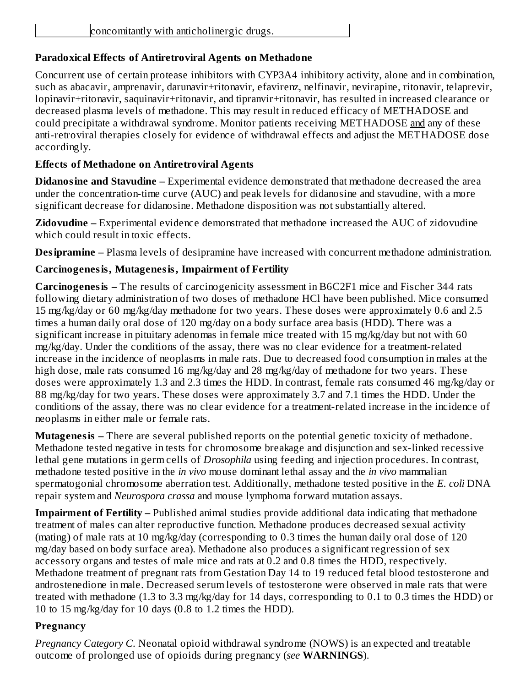### **Paradoxical Effects of Antiretroviral Agents on Methadone**

Concurrent use of certain protease inhibitors with CYP3A4 inhibitory activity, alone and in combination, such as abacavir, amprenavir, darunavir+ritonavir, efavirenz, nelfinavir, nevirapine, ritonavir, telaprevir, lopinavir+ritonavir, saquinavir+ritonavir, and tipranvir+ritonavir, has resulted in increased clearance or decreased plasma levels of methadone. This may result in reduced efficacy of METHADOSE and could precipitate a withdrawal syndrome. Monitor patients receiving METHADOSE and any of these anti-retroviral therapies closely for evidence of withdrawal effects and adjust the METHADOSE dose accordingly.

### **Effects of Methadone on Antiretroviral Agents**

**Didanosine and Stavudine –** Experimental evidence demonstrated that methadone decreased the area under the concentration-time curve (AUC) and peak levels for didanosine and stavudine, with a more significant decrease for didanosine. Methadone disposition was not substantially altered.

**Zidovudine –** Experimental evidence demonstrated that methadone increased the AUC of zidovudine which could result in toxic effects.

**Desipramine –** Plasma levels of desipramine have increased with concurrent methadone administration.

### **Carcinogenesis, Mutagenesis, Impairment of Fertility**

**Carcinogenesis –** The results of carcinogenicity assessment in B6C2F1 mice and Fischer 344 rats following dietary administration of two doses of methadone HCl have been published. Mice consumed 15 mg/kg/day or 60 mg/kg/day methadone for two years. These doses were approximately 0.6 and 2.5 times a human daily oral dose of 120 mg/day on a body surface area basis (HDD). There was a significant increase in pituitary adenomas in female mice treated with 15 mg/kg/day but not with 60 mg/kg/day. Under the conditions of the assay, there was no clear evidence for a treatment-related increase in the incidence of neoplasms in male rats. Due to decreased food consumption in males at the high dose, male rats consumed 16 mg/kg/day and 28 mg/kg/day of methadone for two years. These doses were approximately 1.3 and 2.3 times the HDD. In contrast, female rats consumed 46 mg/kg/day or 88 mg/kg/day for two years. These doses were approximately 3.7 and 7.1 times the HDD. Under the conditions of the assay, there was no clear evidence for a treatment-related increase in the incidence of neoplasms in either male or female rats.

**Mutagenesis –** There are several published reports on the potential genetic toxicity of methadone. Methadone tested negative in tests for chromosome breakage and disjunction and sex-linked recessive lethal gene mutations in germ cells of *Drosophila* using feeding and injection procedures. In contrast, methadone tested positive in the *in vivo* mouse dominant lethal assay and the *in vivo* mammalian spermatogonial chromosome aberration test. Additionally, methadone tested positive in the *E. coli* DNA repair system and *Neurospora crassa* and mouse lymphoma forward mutation assays.

**Impairment of Fertility –** Published animal studies provide additional data indicating that methadone treatment of males can alter reproductive function. Methadone produces decreased sexual activity (mating) of male rats at 10 mg/kg/day (corresponding to 0.3 times the human daily oral dose of 120 mg/day based on body surface area). Methadone also produces a significant regression of sex accessory organs and testes of male mice and rats at 0.2 and 0.8 times the HDD, respectively. Methadone treatment of pregnant rats from Gestation Day 14 to 19 reduced fetal blood testosterone and androstenedione in male. Decreased serum levels of testosterone were observed in male rats that were treated with methadone (1.3 to 3.3 mg/kg/day for 14 days, corresponding to 0.1 to 0.3 times the HDD) or 10 to 15 mg/kg/day for 10 days (0.8 to 1.2 times the HDD).

#### **Pregnancy**

*Pregnancy Category C.* Neonatal opioid withdrawal syndrome (NOWS) is an expected and treatable outcome of prolonged use of opioids during pregnancy (*see* **WARNINGS**).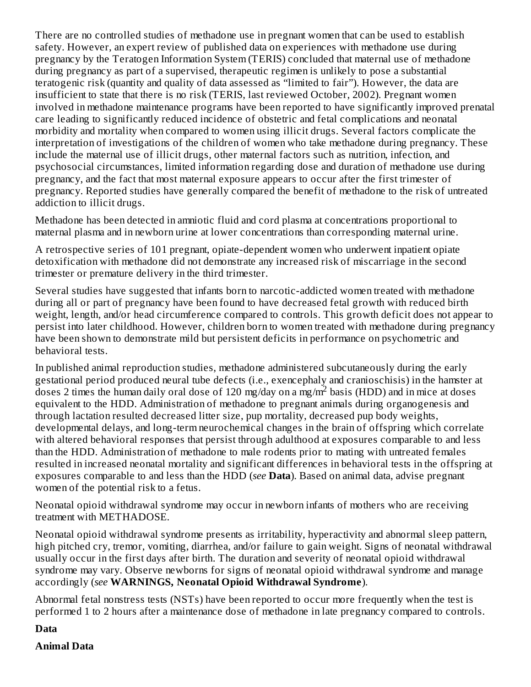There are no controlled studies of methadone use in pregnant women that can be used to establish safety. However, an expert review of published data on experiences with methadone use during pregnancy by the Teratogen Information System (TERIS) concluded that maternal use of methadone during pregnancy as part of a supervised, therapeutic regimen is unlikely to pose a substantial teratogenic risk (quantity and quality of data assessed as "limited to fair"). However, the data are insufficient to state that there is no risk (TERIS, last reviewed October, 2002). Pregnant women involved in methadone maintenance programs have been reported to have significantly improved prenatal care leading to significantly reduced incidence of obstetric and fetal complications and neonatal morbidity and mortality when compared to women using illicit drugs. Several factors complicate the interpretation of investigations of the children of women who take methadone during pregnancy. These include the maternal use of illicit drugs, other maternal factors such as nutrition, infection, and psychosocial circumstances, limited information regarding dose and duration of methadone use during pregnancy, and the fact that most maternal exposure appears to occur after the first trimester of pregnancy. Reported studies have generally compared the benefit of methadone to the risk of untreated addiction to illicit drugs.

Methadone has been detected in amniotic fluid and cord plasma at concentrations proportional to maternal plasma and in newborn urine at lower concentrations than corresponding maternal urine.

A retrospective series of 101 pregnant, opiate-dependent women who underwent inpatient opiate detoxification with methadone did not demonstrate any increased risk of miscarriage in the second trimester or premature delivery in the third trimester.

Several studies have suggested that infants born to narcotic-addicted women treated with methadone during all or part of pregnancy have been found to have decreased fetal growth with reduced birth weight, length, and/or head circumference compared to controls. This growth deficit does not appear to persist into later childhood. However, children born to women treated with methadone during pregnancy have been shown to demonstrate mild but persistent deficits in performance on psychometric and behavioral tests.

In published animal reproduction studies, methadone administered subcutaneously during the early gestational period produced neural tube defects (i.e., exencephaly and cranioschisis) in the hamster at doses 2 times the human daily oral dose of 120 mg/day on a mg/m<sup>2</sup> basis (HDD) and in mice at doses equivalent to the HDD. Administration of methadone to pregnant animals during organogenesis and through lactation resulted decreased litter size, pup mortality, decreased pup body weights, developmental delays, and long-term neurochemical changes in the brain of offspring which correlate with altered behavioral responses that persist through adulthood at exposures comparable to and less than the HDD. Administration of methadone to male rodents prior to mating with untreated females resulted in increased neonatal mortality and significant differences in behavioral tests in the offspring at exposures comparable to and less than the HDD (*see* **Data**). Based on animal data, advise pregnant women of the potential risk to a fetus.

Neonatal opioid withdrawal syndrome may occur in newborn infants of mothers who are receiving treatment with METHADOSE.

Neonatal opioid withdrawal syndrome presents as irritability, hyperactivity and abnormal sleep pattern, high pitched cry, tremor, vomiting, diarrhea, and/or failure to gain weight. Signs of neonatal withdrawal usually occur in the first days after birth. The duration and severity of neonatal opioid withdrawal syndrome may vary. Observe newborns for signs of neonatal opioid withdrawal syndrome and manage accordingly (*see* **WARNINGS, Neonatal Opioid Withdrawal Syndrome**).

Abnormal fetal nonstress tests (NSTs) have been reported to occur more frequently when the test is performed 1 to 2 hours after a maintenance dose of methadone in late pregnancy compared to controls.

### **Data**

**Animal Data**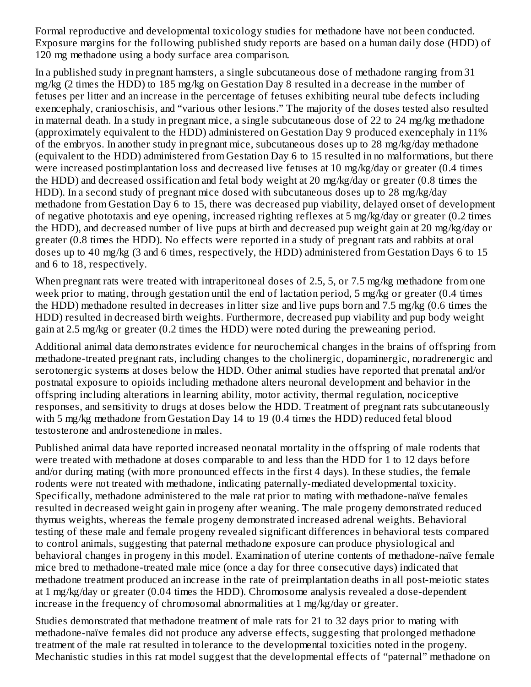Formal reproductive and developmental toxicology studies for methadone have not been conducted. Exposure margins for the following published study reports are based on a human daily dose (HDD) of 120 mg methadone using a body surface area comparison.

In a published study in pregnant hamsters, a single subcutaneous dose of methadone ranging from 31 mg/kg (2 times the HDD) to 185 mg/kg on Gestation Day 8 resulted in a decrease in the number of fetuses per litter and an increase in the percentage of fetuses exhibiting neural tube defects including exencephaly, cranioschisis, and "various other lesions." The majority of the doses tested also resulted in maternal death. In a study in pregnant mice, a single subcutaneous dose of 22 to 24 mg/kg methadone (approximately equivalent to the HDD) administered on Gestation Day 9 produced exencephaly in 11% of the embryos. In another study in pregnant mice, subcutaneous doses up to 28 mg/kg/day methadone (equivalent to the HDD) administered from Gestation Day 6 to 15 resulted in no malformations, but there were increased postimplantation loss and decreased live fetuses at 10 mg/kg/day or greater (0.4 times the HDD) and decreased ossification and fetal body weight at 20 mg/kg/day or greater (0.8 times the HDD). In a second study of pregnant mice dosed with subcutaneous doses up to 28 mg/kg/day methadone from Gestation Day 6 to 15, there was decreased pup viability, delayed onset of development of negative phototaxis and eye opening, increased righting reflexes at 5 mg/kg/day or greater (0.2 times the HDD), and decreased number of live pups at birth and decreased pup weight gain at 20 mg/kg/day or greater (0.8 times the HDD). No effects were reported in a study of pregnant rats and rabbits at oral doses up to 40 mg/kg (3 and 6 times, respectively, the HDD) administered from Gestation Days 6 to 15 and 6 to 18, respectively.

When pregnant rats were treated with intraperitoneal doses of 2.5, 5, or 7.5 mg/kg methadone from one week prior to mating, through gestation until the end of lactation period, 5 mg/kg or greater (0.4 times the HDD) methadone resulted in decreases in litter size and live pups born and 7.5 mg/kg (0.6 times the HDD) resulted in decreased birth weights. Furthermore, decreased pup viability and pup body weight gain at 2.5 mg/kg or greater (0.2 times the HDD) were noted during the preweaning period.

Additional animal data demonstrates evidence for neurochemical changes in the brains of offspring from methadone-treated pregnant rats, including changes to the cholinergic, dopaminergic, noradrenergic and serotonergic systems at doses below the HDD. Other animal studies have reported that prenatal and/or postnatal exposure to opioids including methadone alters neuronal development and behavior in the offspring including alterations in learning ability, motor activity, thermal regulation, nociceptive responses, and sensitivity to drugs at doses below the HDD. Treatment of pregnant rats subcutaneously with 5 mg/kg methadone from Gestation Day 14 to 19 (0.4 times the HDD) reduced fetal blood testosterone and androstenedione in males.

Published animal data have reported increased neonatal mortality in the offspring of male rodents that were treated with methadone at doses comparable to and less than the HDD for 1 to 12 days before and/or during mating (with more pronounced effects in the first 4 days). In these studies, the female rodents were not treated with methadone, indicating paternally-mediated developmental toxicity. Specifically, methadone administered to the male rat prior to mating with methadone-naïve females resulted in decreased weight gain in progeny after weaning. The male progeny demonstrated reduced thymus weights, whereas the female progeny demonstrated increased adrenal weights. Behavioral testing of these male and female progeny revealed significant differences in behavioral tests compared to control animals, suggesting that paternal methadone exposure can produce physiological and behavioral changes in progeny in this model. Examination of uterine contents of methadone-naïve female mice bred to methadone-treated male mice (once a day for three consecutive days) indicated that methadone treatment produced an increase in the rate of preimplantation deaths in all post-meiotic states at 1 mg/kg/day or greater (0.04 times the HDD). Chromosome analysis revealed a dose-dependent increase in the frequency of chromosomal abnormalities at 1 mg/kg/day or greater.

Studies demonstrated that methadone treatment of male rats for 21 to 32 days prior to mating with methadone-naïve females did not produce any adverse effects, suggesting that prolonged methadone treatment of the male rat resulted in tolerance to the developmental toxicities noted in the progeny. Mechanistic studies in this rat model suggest that the developmental effects of "paternal" methadone on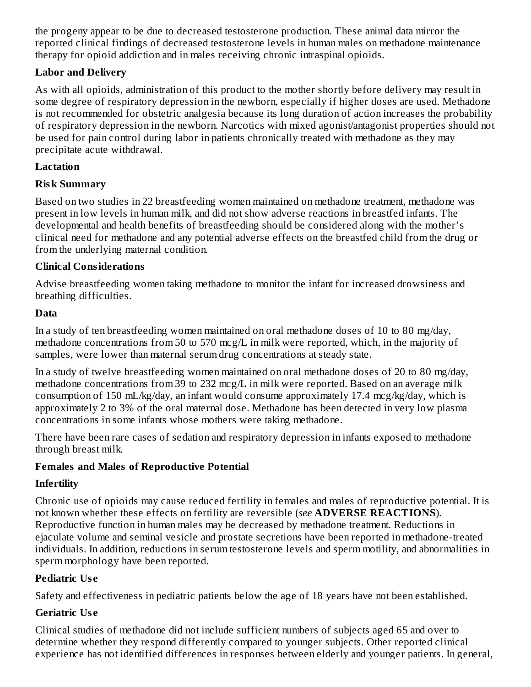the progeny appear to be due to decreased testosterone production. These animal data mirror the reported clinical findings of decreased testosterone levels in human males on methadone maintenance therapy for opioid addiction and in males receiving chronic intraspinal opioids.

## **Labor and Delivery**

As with all opioids, administration of this product to the mother shortly before delivery may result in some degree of respiratory depression in the newborn, especially if higher doses are used. Methadone is not recommended for obstetric analgesia because its long duration of action increases the probability of respiratory depression in the newborn. Narcotics with mixed agonist/antagonist properties should not be used for pain control during labor in patients chronically treated with methadone as they may precipitate acute withdrawal.

### **Lactation**

## **Risk Summary**

Based on two studies in 22 breastfeeding women maintained on methadone treatment, methadone was present in low levels in human milk, and did not show adverse reactions in breastfed infants. The developmental and health benefits of breastfeeding should be considered along with the mother's clinical need for methadone and any potential adverse effects on the breastfed child from the drug or from the underlying maternal condition.

## **Clinical Considerations**

Advise breastfeeding women taking methadone to monitor the infant for increased drowsiness and breathing difficulties.

## **Data**

In a study of ten breastfeeding women maintained on oral methadone doses of 10 to 80 mg/day, methadone concentrations from 50 to 570 mcg/L in milk were reported, which, in the majority of samples, were lower than maternal serum drug concentrations at steady state.

In a study of twelve breastfeeding women maintained on oral methadone doses of 20 to 80 mg/day, methadone concentrations from 39 to 232 mcg/L in milk were reported. Based on an average milk consumption of 150 mL/kg/day, an infant would consume approximately 17.4 mcg/kg/day, which is approximately 2 to 3% of the oral maternal dose. Methadone has been detected in very low plasma concentrations in some infants whose mothers were taking methadone.

There have been rare cases of sedation and respiratory depression in infants exposed to methadone through breast milk.

## **Females and Males of Reproductive Potential**

## **Infertility**

Chronic use of opioids may cause reduced fertility in females and males of reproductive potential. It is not known whether these effects on fertility are reversible (*see* **ADVERSE REACTIONS**). Reproductive function in human males may be decreased by methadone treatment. Reductions in ejaculate volume and seminal vesicle and prostate secretions have been reported in methadone-treated individuals. In addition, reductions in serum testosterone levels and sperm motility, and abnormalities in sperm morphology have been reported.

## **Pediatric Us e**

Safety and effectiveness in pediatric patients below the age of 18 years have not been established.

## **Geriatric Us e**

Clinical studies of methadone did not include sufficient numbers of subjects aged 65 and over to determine whether they respond differently compared to younger subjects. Other reported clinical experience has not identified differences in responses between elderly and younger patients. In general,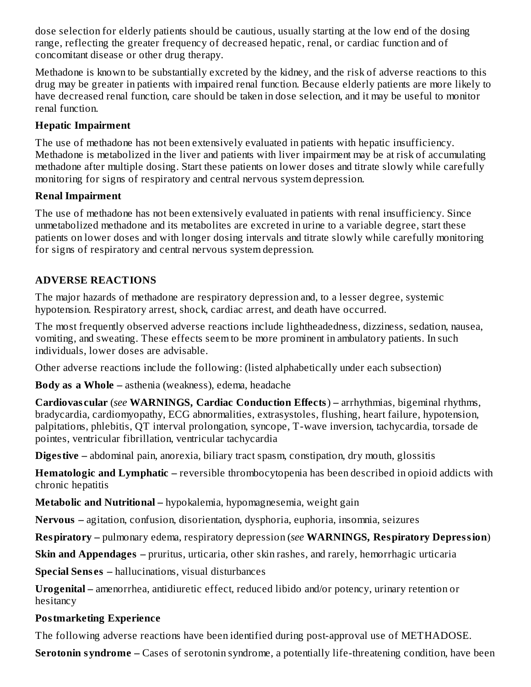dose selection for elderly patients should be cautious, usually starting at the low end of the dosing range, reflecting the greater frequency of decreased hepatic, renal, or cardiac function and of concomitant disease or other drug therapy.

Methadone is known to be substantially excreted by the kidney, and the risk of adverse reactions to this drug may be greater in patients with impaired renal function. Because elderly patients are more likely to have decreased renal function, care should be taken in dose selection, and it may be useful to monitor renal function.

#### **Hepatic Impairment**

The use of methadone has not been extensively evaluated in patients with hepatic insufficiency. Methadone is metabolized in the liver and patients with liver impairment may be at risk of accumulating methadone after multiple dosing. Start these patients on lower doses and titrate slowly while carefully monitoring for signs of respiratory and central nervous system depression.

#### **Renal Impairment**

The use of methadone has not been extensively evaluated in patients with renal insufficiency. Since unmetabolized methadone and its metabolites are excreted in urine to a variable degree, start these patients on lower doses and with longer dosing intervals and titrate slowly while carefully monitoring for signs of respiratory and central nervous system depression.

## **ADVERSE REACTIONS**

The major hazards of methadone are respiratory depression and, to a lesser degree, systemic hypotension. Respiratory arrest, shock, cardiac arrest, and death have occurred.

The most frequently observed adverse reactions include lightheadedness, dizziness, sedation, nausea, vomiting, and sweating. These effects seem to be more prominent in ambulatory patients. In such individuals, lower doses are advisable.

Other adverse reactions include the following: (listed alphabetically under each subsection)

**Body as a Whole –** asthenia (weakness), edema, headache

**Cardiovas cular** (*see* **WARNINGS, Cardiac Conduction Effects**) **–** arrhythmias, bigeminal rhythms, bradycardia, cardiomyopathy, ECG abnormalities, extrasystoles, flushing, heart failure, hypotension, palpitations, phlebitis, QT interval prolongation, syncope, T-wave inversion, tachycardia, torsade de pointes, ventricular fibrillation, ventricular tachycardia

**Digestive –** abdominal pain, anorexia, biliary tract spasm, constipation, dry mouth, glossitis

**Hematologic and Lymphatic –** reversible thrombocytopenia has been described in opioid addicts with chronic hepatitis

**Metabolic and Nutritional –** hypokalemia, hypomagnesemia, weight gain

**Nervous –** agitation, confusion, disorientation, dysphoria, euphoria, insomnia, seizures

**Respiratory –** pulmonary edema, respiratory depression (*see* **WARNINGS, Respiratory Depression**)

**Skin and Appendages –** pruritus, urticaria, other skin rashes, and rarely, hemorrhagic urticaria

**Special Sens es –** hallucinations, visual disturbances

**Urogenital –** amenorrhea, antidiuretic effect, reduced libido and/or potency, urinary retention or hesitancy

### **Postmarketing Experience**

The following adverse reactions have been identified during post-approval use of METHADOSE.

**Serotonin syndrome –** Cases of serotonin syndrome, a potentially life-threatening condition, have been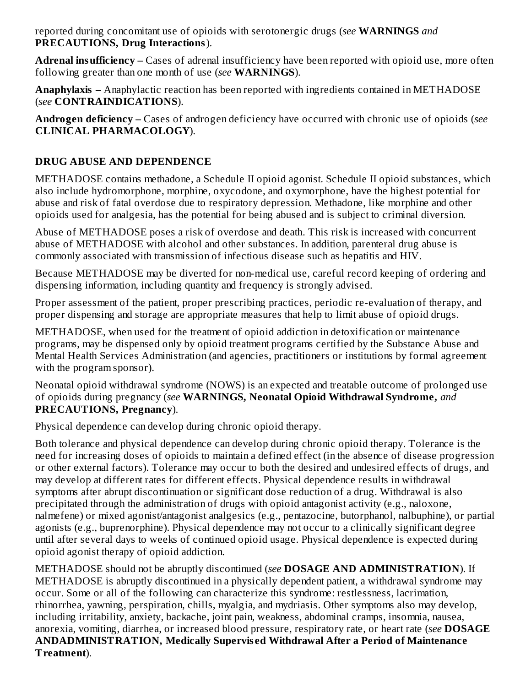reported during concomitant use of opioids with serotonergic drugs (*see* **WARNINGS** *and* **PRECAUTIONS, Drug Interactions**).

**Adrenal insufficiency –** Cases of adrenal insufficiency have been reported with opioid use, more often following greater than one month of use (*see* **WARNINGS**).

**Anaphylaxis –** Anaphylactic reaction has been reported with ingredients contained in METHADOSE (*see* **CONTRAINDICATIONS**).

**Androgen deficiency –** Cases of androgen deficiency have occurred with chronic use of opioids (*see* **CLINICAL PHARMACOLOGY**).

## **DRUG ABUSE AND DEPENDENCE**

METHADOSE contains methadone, a Schedule II opioid agonist. Schedule II opioid substances, which also include hydromorphone, morphine, oxycodone, and oxymorphone, have the highest potential for abuse and risk of fatal overdose due to respiratory depression. Methadone, like morphine and other opioids used for analgesia, has the potential for being abused and is subject to criminal diversion.

Abuse of METHADOSE poses a risk of overdose and death. This risk is increased with concurrent abuse of METHADOSE with alcohol and other substances. In addition, parenteral drug abuse is commonly associated with transmission of infectious disease such as hepatitis and HIV.

Because METHADOSE may be diverted for non-medical use, careful record keeping of ordering and dispensing information, including quantity and frequency is strongly advised.

Proper assessment of the patient, proper prescribing practices, periodic re-evaluation of therapy, and proper dispensing and storage are appropriate measures that help to limit abuse of opioid drugs.

METHADOSE, when used for the treatment of opioid addiction in detoxification or maintenance programs, may be dispensed only by opioid treatment programs certified by the Substance Abuse and Mental Health Services Administration (and agencies, practitioners or institutions by formal agreement with the program sponsor).

Neonatal opioid withdrawal syndrome (NOWS) is an expected and treatable outcome of prolonged use of opioids during pregnancy (*see* **WARNINGS, Neonatal Opioid Withdrawal Syndrome,** *and* **PRECAUTIONS, Pregnancy**).

Physical dependence can develop during chronic opioid therapy.

Both tolerance and physical dependence can develop during chronic opioid therapy. Tolerance is the need for increasing doses of opioids to maintain a defined effect (in the absence of disease progression or other external factors). Tolerance may occur to both the desired and undesired effects of drugs, and may develop at different rates for different effects. Physical dependence results in withdrawal symptoms after abrupt discontinuation or significant dose reduction of a drug. Withdrawal is also precipitated through the administration of drugs with opioid antagonist activity (e.g., naloxone, nalmefene) or mixed agonist/antagonist analgesics (e.g., pentazocine, butorphanol, nalbuphine), or partial agonists (e.g., buprenorphine). Physical dependence may not occur to a clinically significant degree until after several days to weeks of continued opioid usage. Physical dependence is expected during opioid agonist therapy of opioid addiction.

METHADOSE should not be abruptly discontinued (*see* **DOSAGE AND ADMINISTRATION**). If METHADOSE is abruptly discontinued in a physically dependent patient, a withdrawal syndrome may occur. Some or all of the following can characterize this syndrome: restlessness, lacrimation, rhinorrhea, yawning, perspiration, chills, myalgia, and mydriasis. Other symptoms also may develop, including irritability, anxiety, backache, joint pain, weakness, abdominal cramps, insomnia, nausea, anorexia, vomiting, diarrhea, or increased blood pressure, respiratory rate, or heart rate (*see* **DOSAGE ANDADMINISTRATION, Medically Supervis ed Withdrawal After a Period of Maintenance Treatment**).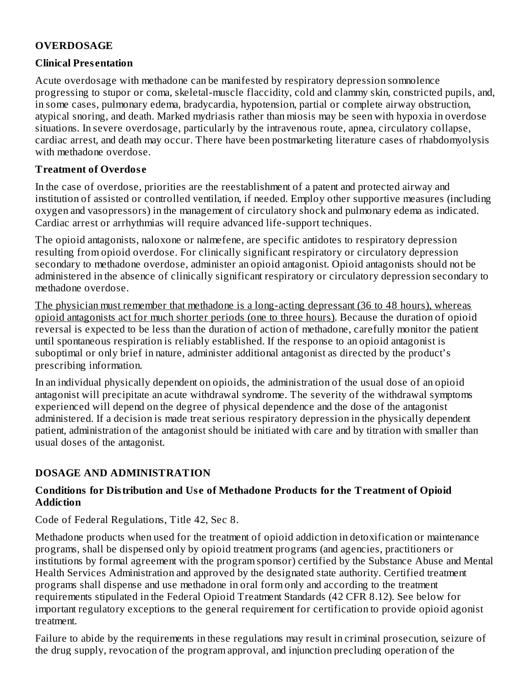#### **OVERDOSAGE**

#### **Clinical Pres entation**

Acute overdosage with methadone can be manifested by respiratory depression somnolence progressing to stupor or coma, skeletal-muscle flaccidity, cold and clammy skin, constricted pupils, and, in some cases, pulmonary edema, bradycardia, hypotension, partial or complete airway obstruction, atypical snoring, and death. Marked mydriasis rather than miosis may be seen with hypoxia in overdose situations*.* In severe overdosage, particularly by the intravenous route, apnea, circulatory collapse, cardiac arrest, and death may occur. There have been postmarketing literature cases of rhabdomyolysis with methadone overdose.

#### **Treatment of Overdos e**

In the case of overdose, priorities are the reestablishment of a patent and protected airway and institution of assisted or controlled ventilation, if needed. Employ other supportive measures (including oxygen and vasopressors) in the management of circulatory shock and pulmonary edema as indicated. Cardiac arrest or arrhythmias will require advanced life-support techniques.

The opioid antagonists, naloxone or nalmefene, are specific antidotes to respiratory depression resulting from opioid overdose. For clinically significant respiratory or circulatory depression secondary to methadone overdose, administer an opioid antagonist. Opioid antagonists should not be administered in the absence of clinically significant respiratory or circulatory depression secondary to methadone overdose.

The physician must remember that methadone is a long-acting depressant (36 to 48 hours), whereas opioid antagonists act for much shorter periods (one to three hours). Because the duration of opioid reversal is expected to be less than the duration of action of methadone, carefully monitor the patient until spontaneous respiration is reliably established. If the response to an opioid antagonist is suboptimal or only brief in nature, administer additional antagonist as directed by the product's prescribing information.

In an individual physically dependent on opioids, the administration of the usual dose of an opioid antagonist will precipitate an acute withdrawal syndrome. The severity of the withdrawal symptoms experienced will depend on the degree of physical dependence and the dose of the antagonist administered. If a decision is made treat serious respiratory depression in the physically dependent patient, administration of the antagonist should be initiated with care and by titration with smaller than usual doses of the antagonist.

### **DOSAGE AND ADMINISTRATION**

#### **Conditions for Distribution and Us e of Methadone Products for the Treatment of Opioid Addiction**

Code of Federal Regulations, Title 42, Sec 8.

Methadone products when used for the treatment of opioid addiction in detoxification or maintenance programs, shall be dispensed only by opioid treatment programs (and agencies, practitioners or institutions by formal agreement with the program sponsor) certified by the Substance Abuse and Mental Health Services Administration and approved by the designated state authority. Certified treatment programs shall dispense and use methadone in oral form only and according to the treatment requirements stipulated in the Federal Opioid Treatment Standards (42 CFR 8.12). See below for important regulatory exceptions to the general requirement for certification to provide opioid agonist treatment.

Failure to abide by the requirements in these regulations may result in criminal prosecution, seizure of the drug supply, revocation of the program approval, and injunction precluding operation of the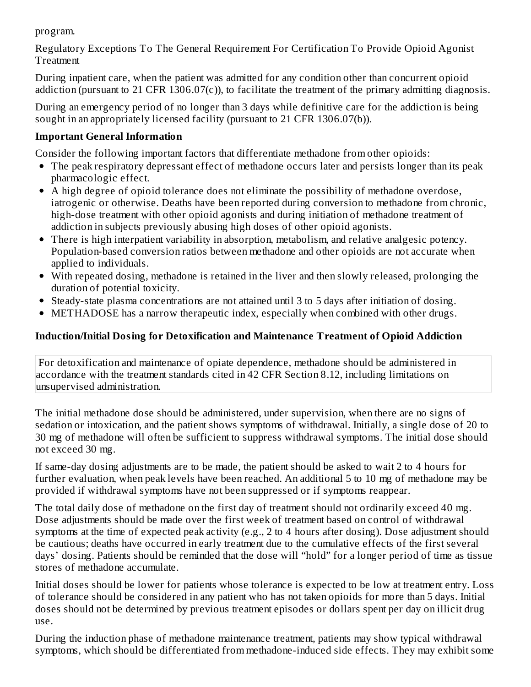program.

Regulatory Exceptions To The General Requirement For Certification To Provide Opioid Agonist **Treatment** 

During inpatient care, when the patient was admitted for any condition other than concurrent opioid addiction (pursuant to 21 CFR 1306.07(c)), to facilitate the treatment of the primary admitting diagnosis.

During an emergency period of no longer than 3 days while definitive care for the addiction is being sought in an appropriately licensed facility (pursuant to 21 CFR 1306.07(b)).

## **Important General Information**

Consider the following important factors that differentiate methadone from other opioids:

- The peak respiratory depressant effect of methadone occurs later and persists longer than its peak pharmacologic effect.
- A high degree of opioid tolerance does not eliminate the possibility of methadone overdose, iatrogenic or otherwise. Deaths have been reported during conversion to methadone from chronic, high-dose treatment with other opioid agonists and during initiation of methadone treatment of addiction in subjects previously abusing high doses of other opioid agonists.
- There is high interpatient variability in absorption, metabolism, and relative analgesic potency. Population-based conversion ratios between methadone and other opioids are not accurate when applied to individuals.
- With repeated dosing, methadone is retained in the liver and then slowly released, prolonging the duration of potential toxicity.
- Steady-state plasma concentrations are not attained until 3 to 5 days after initiation of dosing.
- METHADOSE has a narrow therapeutic index, especially when combined with other drugs.

## **Induction/Initial Dosing for Detoxification and Maintenance Treatment of Opioid Addiction**

For detoxification and maintenance of opiate dependence, methadone should be administered in accordance with the treatment standards cited in 42 CFR Section 8.12, including limitations on unsupervised administration.

The initial methadone dose should be administered, under supervision, when there are no signs of sedation or intoxication, and the patient shows symptoms of withdrawal. Initially, a single dose of 20 to 30 mg of methadone will often be sufficient to suppress withdrawal symptoms. The initial dose should not exceed 30 mg.

If same-day dosing adjustments are to be made, the patient should be asked to wait 2 to 4 hours for further evaluation, when peak levels have been reached. An additional 5 to 10 mg of methadone may be provided if withdrawal symptoms have not been suppressed or if symptoms reappear.

The total daily dose of methadone on the first day of treatment should not ordinarily exceed 40 mg. Dose adjustments should be made over the first week of treatment based on control of withdrawal symptoms at the time of expected peak activity (e.g., 2 to 4 hours after dosing). Dose adjustment should be cautious; deaths have occurred in early treatment due to the cumulative effects of the first several days' dosing. Patients should be reminded that the dose will "hold" for a longer period of time as tissue stores of methadone accumulate.

Initial doses should be lower for patients whose tolerance is expected to be low at treatment entry. Loss of tolerance should be considered in any patient who has not taken opioids for more than 5 days. Initial doses should not be determined by previous treatment episodes or dollars spent per day on illicit drug use.

During the induction phase of methadone maintenance treatment, patients may show typical withdrawal symptoms, which should be differentiated from methadone-induced side effects. They may exhibit some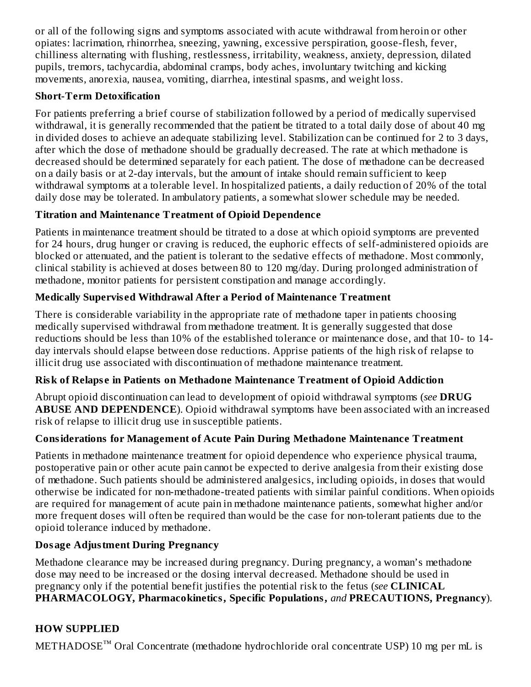or all of the following signs and symptoms associated with acute withdrawal from heroin or other opiates: lacrimation, rhinorrhea, sneezing, yawning, excessive perspiration, goose-flesh, fever, chilliness alternating with flushing, restlessness, irritability, weakness, anxiety, depression, dilated pupils, tremors, tachycardia, abdominal cramps, body aches, involuntary twitching and kicking movements, anorexia, nausea, vomiting, diarrhea, intestinal spasms, and weight loss.

#### **Short-Term Detoxification**

For patients preferring a brief course of stabilization followed by a period of medically supervised withdrawal, it is generally recommended that the patient be titrated to a total daily dose of about 40 mg in divided doses to achieve an adequate stabilizing level. Stabilization can be continued for 2 to 3 days, after which the dose of methadone should be gradually decreased. The rate at which methadone is decreased should be determined separately for each patient. The dose of methadone can be decreased on a daily basis or at 2-day intervals, but the amount of intake should remain sufficient to keep withdrawal symptoms at a tolerable level. In hospitalized patients, a daily reduction of 20% of the total daily dose may be tolerated. In ambulatory patients, a somewhat slower schedule may be needed.

## **Titration and Maintenance Treatment of Opioid Dependence**

Patients in maintenance treatment should be titrated to a dose at which opioid symptoms are prevented for 24 hours, drug hunger or craving is reduced, the euphoric effects of self-administered opioids are blocked or attenuated, and the patient is tolerant to the sedative effects of methadone. Most commonly, clinical stability is achieved at doses between 80 to 120 mg/day. During prolonged administration of methadone, monitor patients for persistent constipation and manage accordingly.

## **Medically Supervis ed Withdrawal After a Period of Maintenance Treatment**

There is considerable variability in the appropriate rate of methadone taper in patients choosing medically supervised withdrawal from methadone treatment. It is generally suggested that dose reductions should be less than 10% of the established tolerance or maintenance dose, and that 10- to 14 day intervals should elapse between dose reductions. Apprise patients of the high risk of relapse to illicit drug use associated with discontinuation of methadone maintenance treatment.

## **Risk of Relaps e in Patients on Methadone Maintenance Treatment of Opioid Addiction**

Abrupt opioid discontinuation can lead to development of opioid withdrawal symptoms (*see* **DRUG ABUSE AND DEPENDENCE**). Opioid withdrawal symptoms have been associated with an increased risk of relapse to illicit drug use in susceptible patients.

### **Considerations for Management of Acute Pain During Methadone Maintenance Treatment**

Patients in methadone maintenance treatment for opioid dependence who experience physical trauma, postoperative pain or other acute pain cannot be expected to derive analgesia from their existing dose of methadone. Such patients should be administered analgesics, including opioids, in doses that would otherwise be indicated for non-methadone-treated patients with similar painful conditions. When opioids are required for management of acute pain in methadone maintenance patients, somewhat higher and/or more frequent doses will often be required than would be the case for non-tolerant patients due to the opioid tolerance induced by methadone.

### **Dosage Adjustment During Pregnancy**

Methadone clearance may be increased during pregnancy. During pregnancy, a woman's methadone dose may need to be increased or the dosing interval decreased. Methadone should be used in pregnancy only if the potential benefit justifies the potential risk to the fetus (*see* **CLINICAL PHARMACOLOGY, Pharmacokinetics, Specific Populations,** *and* **PRECAUTIONS, Pregnancy**).

## **HOW SUPPLIED**

 $METHADOSE^{TM}$  Oral Concentrate (methadone hydrochloride oral concentrate USP) 10 mg per mL is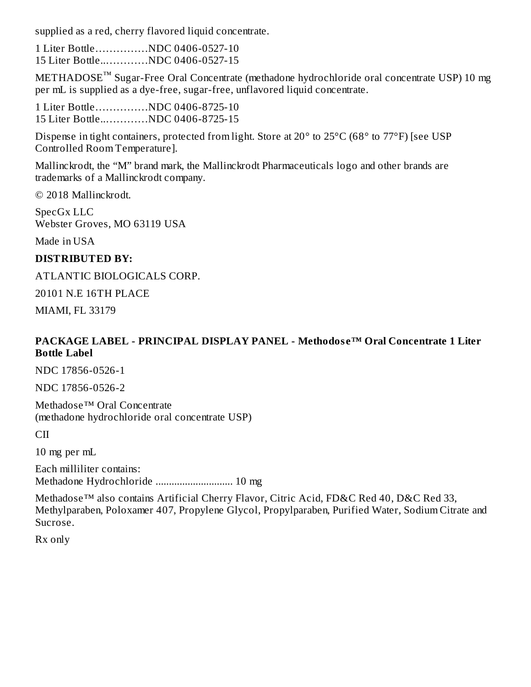supplied as a red, cherry flavored liquid concentrate.

1 Liter Bottle……………NDC 0406-0527-10 15 Liter Bottle..…………NDC 0406-0527-15

 $\mathrm{METHADOSE}^{\mathrm{TM}}$  Sugar-Free Oral Concentrate (methadone hydrochloride oral concentrate USP) 10 mg per mL is supplied as a dye-free, sugar-free, unflavored liquid concentrate.

1 Liter Bottle……………NDC 0406-8725-10 15 Liter Bottle..…………NDC 0406-8725-15

Dispense in tight containers, protected from light. Store at 20° to 25°C (68° to 77°F) [see USP Controlled Room Temperature].

Mallinckrodt, the "M" brand mark, the Mallinckrodt Pharmaceuticals logo and other brands are trademarks of a Mallinckrodt company.

© 2018 Mallinckrodt.

SpecGx LLC Webster Groves, MO 63119 USA

Made in USA

#### **DISTRIBUTED BY:**

ATLANTIC BIOLOGICALS CORP.

20101 N.E 16TH PLACE

MIAMI, FL 33179

#### **PACKAGE LABEL - PRINCIPAL DISPLAY PANEL - Methodos e™ Oral Concentrate 1 Liter Bottle Label**

NDC 17856-0526-1

NDC 17856-0526-2

Methadose™ Oral Concentrate (methadone hydrochloride oral concentrate USP)

CII

10 mg per mL

Each milliliter contains: Methadone Hydrochloride ............................. 10 mg

Methadose™ also contains Artificial Cherry Flavor, Citric Acid, FD&C Red 40, D&C Red 33, Methylparaben, Poloxamer 407, Propylene Glycol, Propylparaben, Purified Water, Sodium Citrate and Sucrose.

Rx only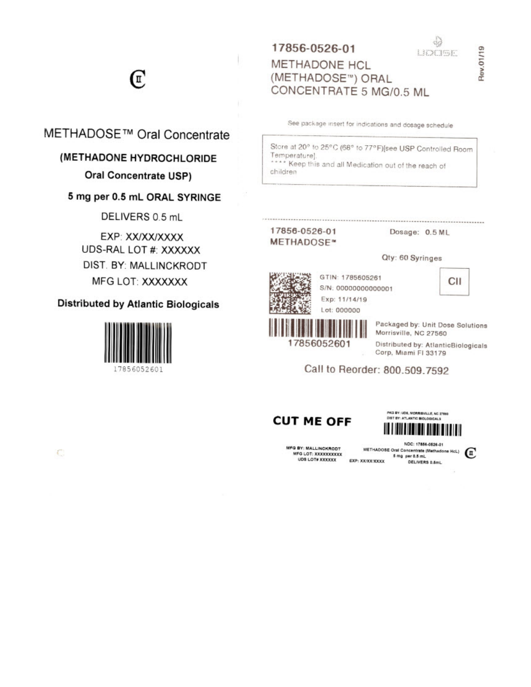# $\mathbb{G}% _{n}$

#### 17856-0526-01 **LICXUESE** METHADONE HCL (METHADOSE<sup>TM</sup>) ORAL CONCENTRATE 5 MG/0.5 ML

43

See package insert for indications and dosage schedule

Store at 20° to 25°C (68° to 77°F)[see USP Controlled Room Temperature). \*\*\*\* Keep this and all Medication out of the reach of children

#### 17856-0526-01 METHADOSE™

Dosage: 0.5 ML

CII

Qty: 60 Syringes



S/N: 00000000000001 Exp: 11/14/19 Lot: 000000



Packaged by: Unit Dose Solutions Morrisville, NC 27560

Distributed by: AtlanticBiologicals Corp, Miami FI 33179

#### Call to Reorder: 800.509.7592

**CUT ME OFF** 

PKG BY: UDS, MORRISVILLE, NC 27860 **OIST BY: ATLANTIC BIOLOGICAL** 



MFG BY: MALLINCKRODT<br>MFG LOT: XXXXXXXXXX **UDS LOT# XXXXXX** 

METHADOSE Oral Concentrate (Methadone HcL)  $\left(\begin{matrix} \blacksquare \\ \blacksquare \end{matrix}\right)$ EXP: XX/XX/XXXX DELIVERS 0.6mL

## METHADOSE™ Oral Concentrate

## (METHADONE HYDROCHLORIDE

#### Oral Concentrate USP)

#### 5 mg per 0.5 mL ORAL SYRINGE

DELIVERS 0.5 mL

EXP: XX/XX/XXXX UDS-RAL LOT #: XXXXXX DIST. BY: MALLINCKRODT MFG LOT: XXXXXXX

## **Distributed by Atlantic Biologicals**



6052601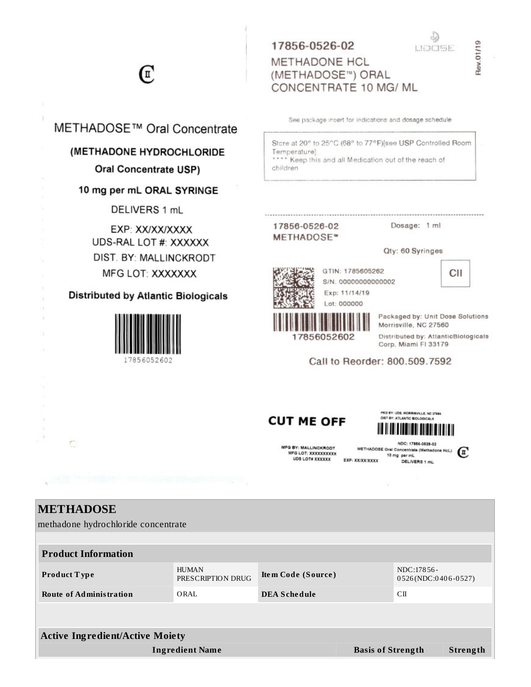#### 17856-0526-02 LIOUSE METHADONE HCL (METHADOSE<sup>TM</sup>) ORAL CONCENTRATE 10 MG/ ML

Rev.01/19

4

## METHADOSE<sup>™</sup> Oral Concentrate

╓

## (METHADONE HYDROCHLORIDE

#### Oral Concentrate USP)

#### 10 mg per mL ORAL SYRINGE

DELIVERS 1 mL

## EXP: XX/XX/XXXX UDS-RAL LOT #: XXXXXX DIST. BY: MALLINCKRODT MFG LOT: XXXXXXX

#### **Distributed by Atlantic Biologicals**

¥

ó.

 $\bar{1}$ 

x

Ċ



See package insert for indications and dosage schedule

Store at 20° to 25°C (68° to 77°F)[see USP Controlled Room Temperature]. \*\*\*\* Keep this and all Medication out of the reach of children

GTIN: 1785605262

Lot: 000000

17856052602

S/N: 00000000000002 Exp: 11/14/19

#### 17856-0526-02 METHADOSE<sup>®</sup>

Dosage: 1 ml

Qty: 60 Syringes



Packaged by: Unit Dose Solutions Morrisville, NC 27560

Distributed by: AtlanticBlologicals Corp. Miami FI 33179

Call to Reorder: 800.509.7592





**MFG BY: MALLINCKROOT** MFG LOT: XXXXXXXXXX<br>UDS LOT# XXXXXXX

NDC: 17856-0526-02 METHADOSE Oral Concertrate (Methadone HcL) 10 mg per mL EXP: XX/XX/XXXX DELIVERS 1 mL

v

| <b>METHADOSE</b>                       |                                   |                     |                          |                                   |          |  |
|----------------------------------------|-----------------------------------|---------------------|--------------------------|-----------------------------------|----------|--|
| methadone hydrochloride concentrate    |                                   |                     |                          |                                   |          |  |
|                                        |                                   |                     |                          |                                   |          |  |
| <b>Product Information</b>             |                                   |                     |                          |                                   |          |  |
| <b>Product Type</b>                    | <b>HUMAN</b><br>PRESCRIPTION DRUG | Item Code (Source)  |                          | NDC:17856-<br>0526(NDC:0406-0527) |          |  |
| <b>Route of Administration</b>         | ORAL                              | <b>DEA Schedule</b> |                          | $\rm CII$                         |          |  |
|                                        |                                   |                     |                          |                                   |          |  |
| <b>Active Ingredient/Active Moiety</b> |                                   |                     |                          |                                   |          |  |
| <b>Ingredient Name</b>                 |                                   |                     | <b>Basis of Strength</b> |                                   | Strength |  |